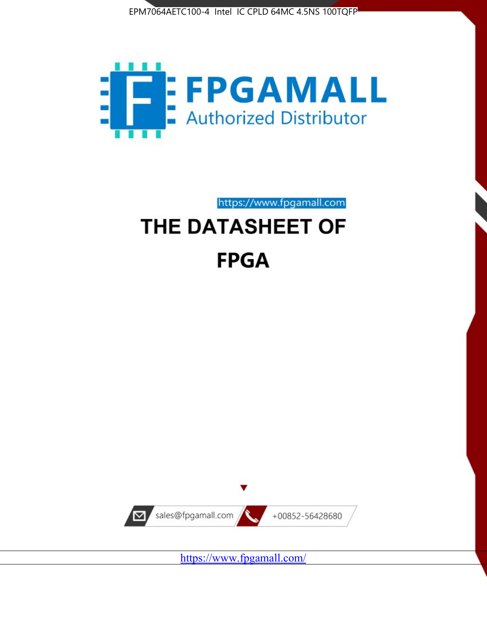



https://www.fpgamall.com THE DATASHEET OF

# **FPGA**



<https://www.fpgamall.com/>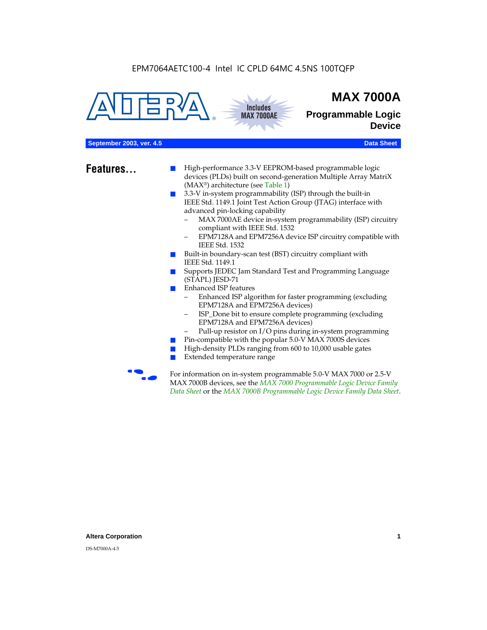



# **MAX 7000A**

**Programmable Logic Device**

# **September 2003, ver. 4.5** Data Sheet

- **Features...** High-performance 3.3-V EEPROM-based programmable logic devices (PLDs) built on second-generation Multiple Array MatriX (MAX®) architecture (see Table 1)
	- 3.3-V in-system programmability (ISP) through the built-in IEEE Std. 1149.1 Joint Test Action Group (JTAG) interface with advanced pin-locking capability
		- MAX 7000AE device in-system programmability (ISP) circuitry compliant with IEEE Std. 1532
		- EPM7128A and EPM7256A device ISP circuitry compatible with IEEE Std. 1532
	- Built-in boundary-scan test (BST) circuitry compliant with IEEE Std. 1149.1
	- Supports JEDEC Jam Standard Test and Programming Language (STAPL) JESD-71
	- Enhanced ISP features
		- Enhanced ISP algorithm for faster programming (excluding EPM7128A and EPM7256A devices)
		- ISP\_Done bit to ensure complete programming (excluding EPM7128A and EPM7256A devices)
		- Pull-up resistor on I/O pins during in-system programming
	- Pin-compatible with the popular 5.0-V MAX 7000S devices
	- High-density PLDs ranging from 600 to 10,000 usable gates
	- Extended temperature range

For information on in-system programmable 5.0-V MAX 7000 or 2.5-V MAX 7000B devices, see the *MAX 7000 Programmable Logic Device Family Data Sheet* or the *MAX 7000B Programmable Logic Device Family Data Sheet*.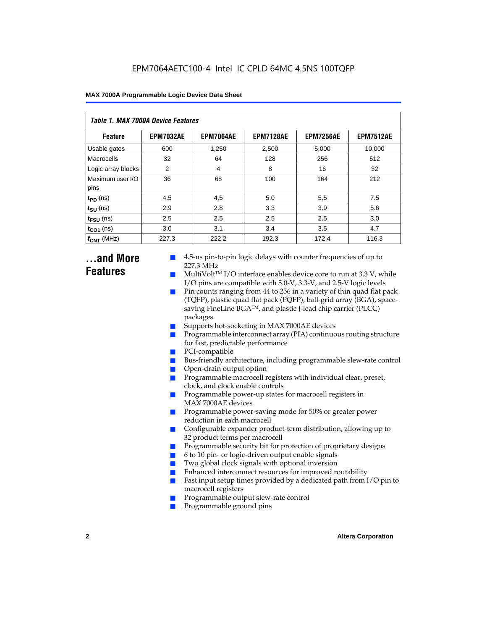| Table 1. MAX 7000A Device Features |                  |                  |                  |                  |                  |  |  |  |  |
|------------------------------------|------------------|------------------|------------------|------------------|------------------|--|--|--|--|
| <b>Feature</b>                     | <b>EPM7032AE</b> | <b>EPM7064AE</b> | <b>EPM7128AE</b> | <b>EPM7256AE</b> | <b>EPM7512AE</b> |  |  |  |  |
| Usable gates                       | 600              | 1,250            | 2,500            | 5,000            | 10,000           |  |  |  |  |
| Macrocells                         | 32               | 64               | 128              | 256              | 512              |  |  |  |  |
| Logic array blocks                 | 2                | 4                | 8                | 16               | 32               |  |  |  |  |
| Maximum user I/O<br>pins           | 36               | 68               | 100              | 164              | 212              |  |  |  |  |
| $t_{PD}$ (ns)                      | 4.5              | 4.5              | 5.0              | 5.5              | 7.5              |  |  |  |  |
| $t_{SU}$ (ns)                      | 2.9              | 2.8              | 3.3              | 3.9              | 5.6              |  |  |  |  |
| $t_{\text{FSU}}$ (ns)              | 2.5              | 2.5              | 2.5              | 2.5              | 3.0              |  |  |  |  |
| $t_{CO1}$ (ns)                     | 3.0              | 3.1              | 3.4              | 3.5              | 4.7              |  |  |  |  |
| $f_{CNT}$ (MHz)                    | 227.3            | 222.2            | 192.3            | 172.4            | 116.3            |  |  |  |  |

# **...and More Features**

- 4.5-ns pin-to-pin logic delays with counter frequencies of up to 227.3 MHz
- $Multivolt<sup>TM</sup> I/O interface enables device core to run at 3.3 V, while$ I/O pins are compatible with 5.0-V, 3.3-V, and 2.5-V logic levels
- Pin counts ranging from 44 to 256 in a variety of thin quad flat pack (TQFP), plastic quad flat pack (PQFP), ball-grid array (BGA), spacesaving FineLine BGATM, and plastic J-lead chip carrier (PLCC) packages
- Supports hot-socketing in MAX 7000AE devices
- Programmable interconnect array (PIA) continuous routing structure for fast, predictable performance
- PCI-compatible
- Bus-friendly architecture, including programmable slew-rate control
- Open-drain output option
- Programmable macrocell registers with individual clear, preset, clock, and clock enable controls
- Programmable power-up states for macrocell registers in MAX 7000AE devices
- Programmable power-saving mode for 50% or greater power reduction in each macrocell
- Configurable expander product-term distribution, allowing up to 32 product terms per macrocell
- Programmable security bit for protection of proprietary designs
- 6 to 10 pin- or logic-driven output enable signals
- Two global clock signals with optional inversion
- Enhanced interconnect resources for improved routability
- **E** Fast input setup times provided by a dedicated path from  $I/O$  pin to macrocell registers
- Programmable output slew-rate control
- Programmable ground pins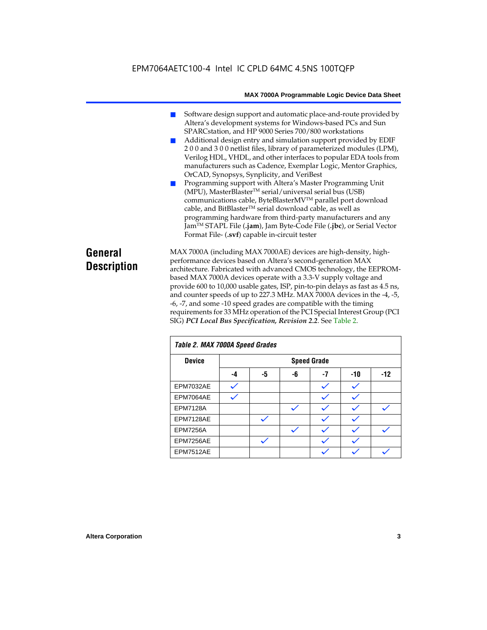- Software design support and automatic place-and-route provided by Altera's development systems for Windows-based PCs and Sun SPARCstation, and HP 9000 Series 700/800 workstations
- Additional design entry and simulation support provided by EDIF 2 0 0 and 3 0 0 netlist files, library of parameterized modules (LPM), Verilog HDL, VHDL, and other interfaces to popular EDA tools from manufacturers such as Cadence, Exemplar Logic, Mentor Graphics, OrCAD, Synopsys, Synplicity, and VeriBest
- Programming support with Altera's Master Programming Unit (MPU), MasterBlaster™ serial/universal serial bus (USB) communications cable, ByteBlasterMVTM parallel port download cable, and BitBlaster™ serial download cable, as well as programming hardware from third-party manufacturers and any JamTM STAPL File (**.jam**), Jam Byte-Code File (**.jbc**), or Serial Vector Format File- (**.svf**) capable in-circuit tester

# **General Description**

MAX 7000A (including MAX 7000AE) devices are high-density, highperformance devices based on Altera's second-generation MAX architecture. Fabricated with advanced CMOS technology, the EEPROMbased MAX 7000A devices operate with a 3.3-V supply voltage and provide 600 to 10,000 usable gates, ISP, pin-to-pin delays as fast as 4.5 ns, and counter speeds of up to 227.3 MHz. MAX 7000A devices in the -4, -5, -6, -7, and some -10 speed grades are compatible with the timing requirements for 33 MHz operation of the PCI Special Interest Group (PCI SIG) *PCI Local Bus Specification, Revision 2.2*. See Table 2.

| Table 2. MAX 7000A Speed Grades |    |    |    |                    |     |       |  |
|---------------------------------|----|----|----|--------------------|-----|-------|--|
| <b>Device</b>                   |    |    |    | <b>Speed Grade</b> |     |       |  |
|                                 | -4 | -5 | -6 | -7                 | -10 | $-12$ |  |
| EPM7032AE                       |    |    |    |                    |     |       |  |
| EPM7064AE                       |    |    |    |                    |     |       |  |
| <b>EPM7128A</b>                 |    |    |    |                    |     |       |  |
| EPM7128AE                       |    |    |    |                    |     |       |  |
| <b>EPM7256A</b>                 |    |    |    |                    |     |       |  |
| EPM7256AE                       |    |    |    |                    |     |       |  |
| EPM7512AE                       |    |    |    |                    |     |       |  |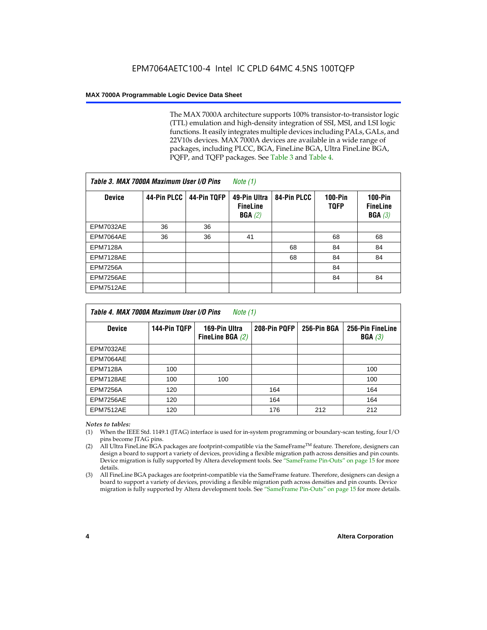The MAX 7000A architecture supports 100% transistor-to-transistor logic (TTL) emulation and high-density integration of SSI, MSI, and LSI logic functions. It easily integrates multiple devices including PALs, GALs, and 22V10s devices. MAX 7000A devices are available in a wide range of packages, including PLCC, BGA, FineLine BGA, Ultra FineLine BGA, PQFP, and TQFP packages. See Table 3 and Table 4.

| Table 3. MAX 7000A Maximum User I/O Pins |             |             | Note $(1)$                                |             |                               |                                           |
|------------------------------------------|-------------|-------------|-------------------------------------------|-------------|-------------------------------|-------------------------------------------|
| <b>Device</b>                            | 44-Pin PLCC | 44-Pin TQFP | 49-Pin Ultra<br><b>FineLine</b><br>BGA(2) | 84-Pin PLCC | <b>100-Pin</b><br><b>TQFP</b> | $100-Pin$<br><b>FineLine</b><br>BGA $(3)$ |
| EPM7032AE                                | 36          | 36          |                                           |             |                               |                                           |
| EPM7064AE                                | 36          | 36          | 41                                        |             | 68                            | 68                                        |
| <b>EPM7128A</b>                          |             |             |                                           | 68          | 84                            | 84                                        |
| EPM7128AE                                |             |             |                                           | 68          | 84                            | 84                                        |
| <b>EPM7256A</b>                          |             |             |                                           |             | 84                            |                                           |
| EPM7256AE                                |             |             |                                           |             | 84                            | 84                                        |
| <b>EPM7512AE</b>                         |             |             |                                           |             |                               |                                           |

| Table 4. MAX 7000A Maximum User I/O Pins<br>Note (1) |              |                                     |              |             |                            |  |  |
|------------------------------------------------------|--------------|-------------------------------------|--------------|-------------|----------------------------|--|--|
| <b>Device</b>                                        | 144-Pin TQFP | 169-Pin Ultra<br>FineLine BGA $(2)$ | 208-Pin PQFP | 256-Pin BGA | 256-Pin FineLine<br>BGA(3) |  |  |
| EPM7032AE                                            |              |                                     |              |             |                            |  |  |
| EPM7064AE                                            |              |                                     |              |             |                            |  |  |
| <b>EPM7128A</b>                                      | 100          |                                     |              |             | 100                        |  |  |
| EPM7128AE                                            | 100          | 100                                 |              |             | 100                        |  |  |
| <b>EPM7256A</b>                                      | 120          |                                     | 164          |             | 164                        |  |  |
| EPM7256AE                                            | 120          |                                     | 164          |             | 164                        |  |  |
| EPM7512AE                                            | 120          |                                     | 176          | 212         | 212                        |  |  |

#### *Notes to tables:*

- (1) When the IEEE Std. 1149.1 (JTAG) interface is used for in-system programming or boundary-scan testing, four I/O pins become JTAG pins.
- (2) All Ultra FineLine BGA packages are footprint-compatible via the SameFrame<sup>TM</sup> feature. Therefore, designers can design a board to support a variety of devices, providing a flexible migration path across densities and pin counts. Device migration is fully supported by Altera development tools. See "SameFrame Pin-Outs" on page 15 for more details.
- (3) All FineLine BGA packages are footprint-compatible via the SameFrame feature. Therefore, designers can design a board to support a variety of devices, providing a flexible migration path across densities and pin counts. Device migration is fully supported by Altera development tools. See "SameFrame Pin-Outs" on page 15 for more details.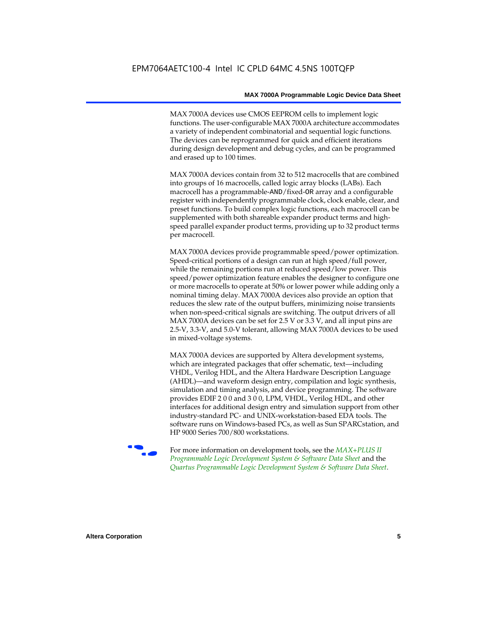MAX 7000A devices use CMOS EEPROM cells to implement logic functions. The user-configurable MAX 7000A architecture accommodates a variety of independent combinatorial and sequential logic functions. The devices can be reprogrammed for quick and efficient iterations during design development and debug cycles, and can be programmed and erased up to 100 times.

MAX 7000A devices contain from 32 to 512 macrocells that are combined into groups of 16 macrocells, called logic array blocks (LABs). Each macrocell has a programmable-AND/fixed-OR array and a configurable register with independently programmable clock, clock enable, clear, and preset functions. To build complex logic functions, each macrocell can be supplemented with both shareable expander product terms and highspeed parallel expander product terms, providing up to 32 product terms per macrocell.

MAX 7000A devices provide programmable speed/power optimization. Speed-critical portions of a design can run at high speed/full power, while the remaining portions run at reduced speed/low power. This speed/power optimization feature enables the designer to configure one or more macrocells to operate at 50% or lower power while adding only a nominal timing delay. MAX 7000A devices also provide an option that reduces the slew rate of the output buffers, minimizing noise transients when non-speed-critical signals are switching. The output drivers of all MAX 7000A devices can be set for 2.5 V or 3.3 V, and all input pins are 2.5-V, 3.3-V, and 5.0-V tolerant, allowing MAX 7000A devices to be used in mixed-voltage systems.

MAX 7000A devices are supported by Altera development systems, which are integrated packages that offer schematic, text—including VHDL, Verilog HDL, and the Altera Hardware Description Language (AHDL)—and waveform design entry, compilation and logic synthesis, simulation and timing analysis, and device programming. The software provides EDIF 2 0 0 and 3 0 0, LPM, VHDL, Verilog HDL, and other interfaces for additional design entry and simulation support from other industry-standard PC- and UNIX-workstation-based EDA tools. The software runs on Windows-based PCs, as well as Sun SPARCstation, and HP 9000 Series 700/800 workstations.

**For more information on development tools, see the** *MAX+PLUS II Programmable Logic Development System & Software Data Sheet* and the *Quartus Programmable Logic Development System & Software Data Sheet*.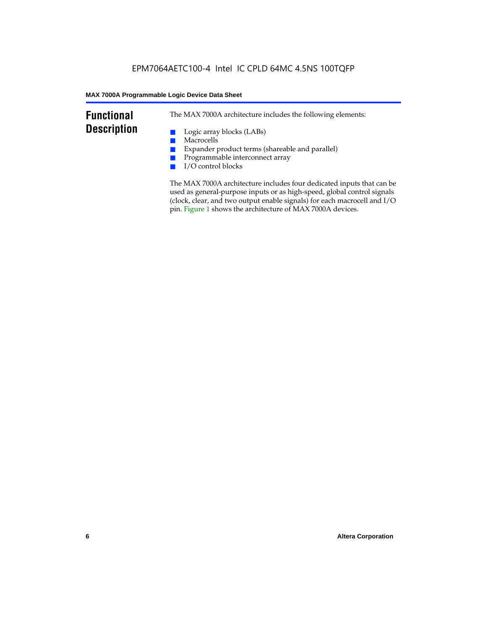# **Functional Description**

The MAX 7000A architecture includes the following elements:

- Logic array blocks (LABs)
- Macrocells
- Expander product terms (shareable and parallel)
- Programmable interconnect array
- I/O control blocks

The MAX 7000A architecture includes four dedicated inputs that can be used as general-purpose inputs or as high-speed, global control signals (clock, clear, and two output enable signals) for each macrocell and I/O pin. Figure 1 shows the architecture of MAX 7000A devices.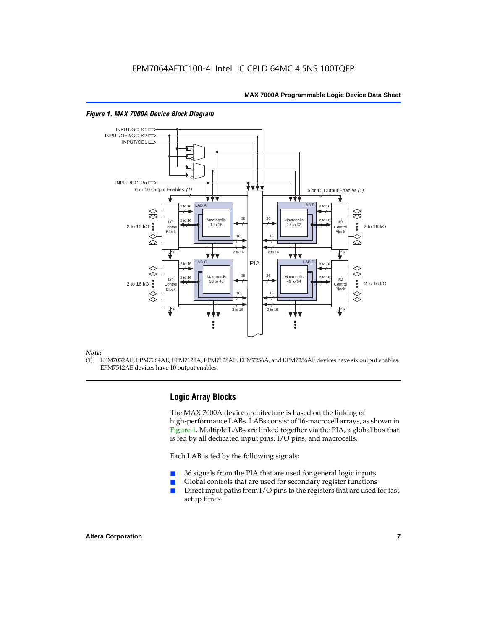

#### *Figure 1. MAX 7000A Device Block Diagram*

#### *Note:*

(1) EPM7032AE, EPM7064AE, EPM7128A, EPM7128AE, EPM7256A, and EPM7256AE devices have six output enables. EPM7512AE devices have 10 output enables.

# **Logic Array Blocks**

The MAX 7000A device architecture is based on the linking of high-performance LABs. LABs consist of 16-macrocell arrays, as shown in Figure 1. Multiple LABs are linked together via the PIA, a global bus that is fed by all dedicated input pins, I/O pins, and macrocells.

Each LAB is fed by the following signals:

- 36 signals from the PIA that are used for general logic inputs
- Global controls that are used for secondary register functions
- Direct input paths from  $I/O$  pins to the registers that are used for fast setup times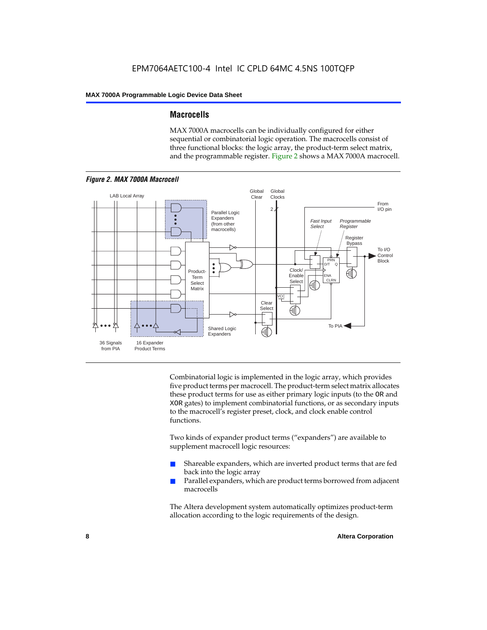### **Macrocells**

MAX 7000A macrocells can be individually configured for either sequential or combinatorial logic operation. The macrocells consist of three functional blocks: the logic array, the product-term select matrix, and the programmable register. Figure 2 shows a MAX 7000A macrocell.



Combinatorial logic is implemented in the logic array, which provides five product terms per macrocell. The product-term select matrix allocates these product terms for use as either primary logic inputs (to the OR and XOR gates) to implement combinatorial functions, or as secondary inputs to the macrocell's register preset, clock, and clock enable control functions.

Two kinds of expander product terms ("expanders") are available to supplement macrocell logic resources:

- Shareable expanders, which are inverted product terms that are fed back into the logic array
- Parallel expanders, which are product terms borrowed from adjacent macrocells

The Altera development system automatically optimizes product-term allocation according to the logic requirements of the design.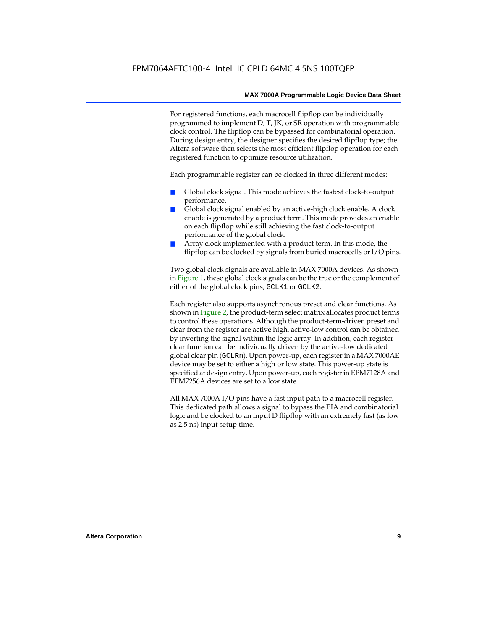For registered functions, each macrocell flipflop can be individually programmed to implement D, T, JK, or SR operation with programmable clock control. The flipflop can be bypassed for combinatorial operation. During design entry, the designer specifies the desired flipflop type; the Altera software then selects the most efficient flipflop operation for each registered function to optimize resource utilization.

Each programmable register can be clocked in three different modes:

- Global clock signal. This mode achieves the fastest clock-to-output performance.
- Global clock signal enabled by an active-high clock enable. A clock enable is generated by a product term. This mode provides an enable on each flipflop while still achieving the fast clock-to-output performance of the global clock.
- Array clock implemented with a product term. In this mode, the flipflop can be clocked by signals from buried macrocells or I/O pins.

Two global clock signals are available in MAX 7000A devices. As shown in Figure 1, these global clock signals can be the true or the complement of either of the global clock pins, GCLK1 or GCLK2.

Each register also supports asynchronous preset and clear functions. As shown in Figure 2, the product-term select matrix allocates product terms to control these operations. Although the product-term-driven preset and clear from the register are active high, active-low control can be obtained by inverting the signal within the logic array. In addition, each register clear function can be individually driven by the active-low dedicated global clear pin (GCLRn). Upon power-up, each register in a MAX 7000AE device may be set to either a high or low state. This power-up state is specified at design entry. Upon power-up, each register in EPM7128A and EPM7256A devices are set to a low state.

All MAX 7000A I/O pins have a fast input path to a macrocell register. This dedicated path allows a signal to bypass the PIA and combinatorial logic and be clocked to an input D flipflop with an extremely fast (as low as 2.5 ns) input setup time.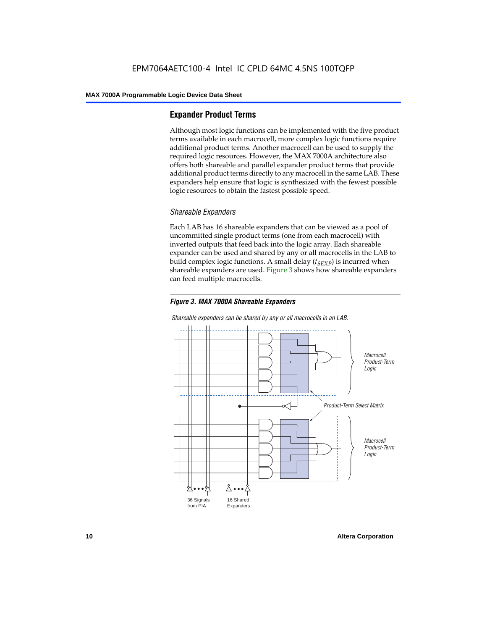# **Expander Product Terms**

Although most logic functions can be implemented with the five product terms available in each macrocell, more complex logic functions require additional product terms. Another macrocell can be used to supply the required logic resources. However, the MAX 7000A architecture also offers both shareable and parallel expander product terms that provide additional product terms directly to any macrocell in the same LAB. These expanders help ensure that logic is synthesized with the fewest possible logic resources to obtain the fastest possible speed.

### *Shareable Expanders*

Each LAB has 16 shareable expanders that can be viewed as a pool of uncommitted single product terms (one from each macrocell) with inverted outputs that feed back into the logic array. Each shareable expander can be used and shared by any or all macrocells in the LAB to build complex logic functions. A small delay  $(t_{SFXP})$  is incurred when shareable expanders are used. Figure 3 shows how shareable expanders can feed multiple macrocells.



**Macrocell** Product-Term Logic Product-Term Select Matrix **Macrocell** Product-Term Logic 36 Signals from PIA 16 Shared Expanders

*Shareable expanders can be shared by any or all macrocells in an LAB.*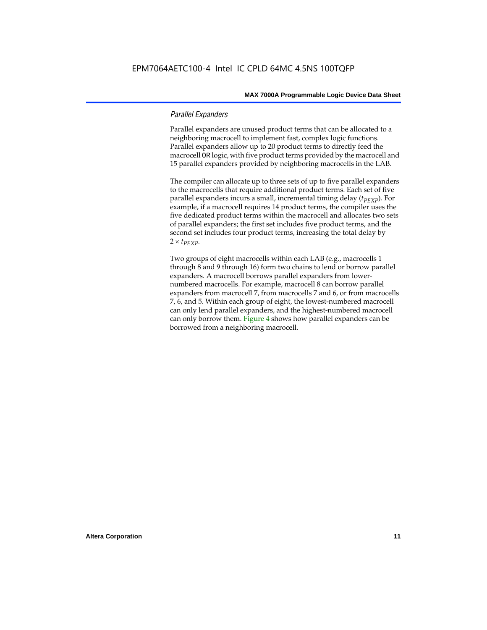### *Parallel Expanders*

Parallel expanders are unused product terms that can be allocated to a neighboring macrocell to implement fast, complex logic functions. Parallel expanders allow up to 20 product terms to directly feed the macrocell OR logic, with five product terms provided by the macrocell and 15 parallel expanders provided by neighboring macrocells in the LAB.

The compiler can allocate up to three sets of up to five parallel expanders to the macrocells that require additional product terms. Each set of five parallel expanders incurs a small, incremental timing delay (*t<sub>PEXP</sub>*). For example, if a macrocell requires 14 product terms, the compiler uses the five dedicated product terms within the macrocell and allocates two sets of parallel expanders; the first set includes five product terms, and the second set includes four product terms, increasing the total delay by  $2 \times t_{PEXP}$ .

Two groups of eight macrocells within each LAB (e.g., macrocells 1 through 8 and 9 through 16) form two chains to lend or borrow parallel expanders. A macrocell borrows parallel expanders from lowernumbered macrocells. For example, macrocell 8 can borrow parallel expanders from macrocell 7, from macrocells 7 and 6, or from macrocells 7, 6, and 5. Within each group of eight, the lowest-numbered macrocell can only lend parallel expanders, and the highest-numbered macrocell can only borrow them. Figure 4 shows how parallel expanders can be borrowed from a neighboring macrocell.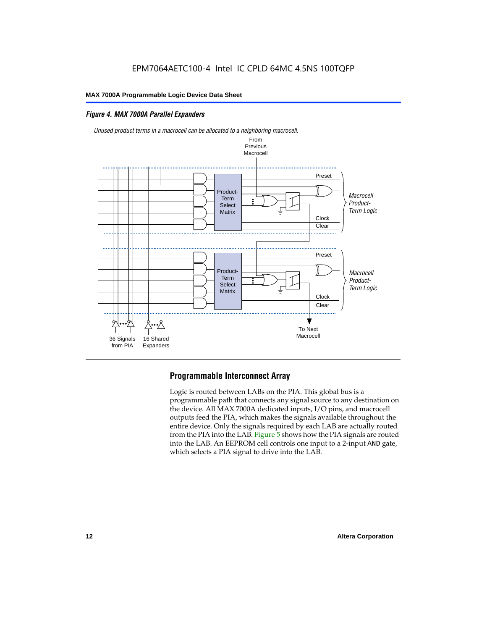# *Figure 4. MAX 7000A Parallel Expanders*



# **Programmable Interconnect Array**

Logic is routed between LABs on the PIA. This global bus is a programmable path that connects any signal source to any destination on the device. All MAX 7000A dedicated inputs, I/O pins, and macrocell outputs feed the PIA, which makes the signals available throughout the entire device. Only the signals required by each LAB are actually routed from the PIA into the LAB. Figure 5 shows how the PIA signals are routed into the LAB. An EEPROM cell controls one input to a 2-input AND gate, which selects a PIA signal to drive into the LAB.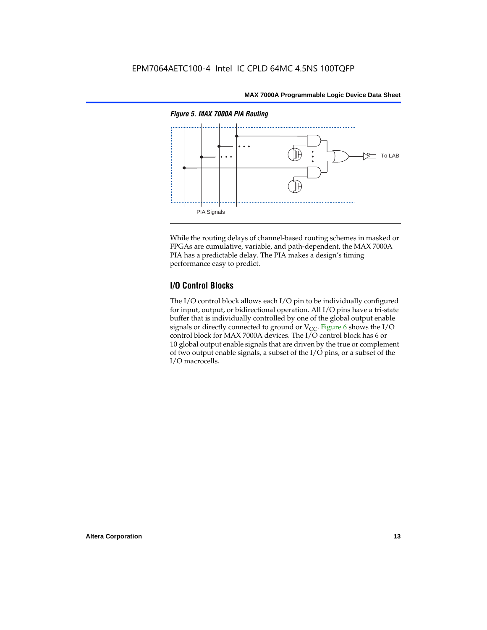

While the routing delays of channel-based routing schemes in masked or FPGAs are cumulative, variable, and path-dependent, the MAX 7000A PIA has a predictable delay. The PIA makes a design's timing performance easy to predict.

# **I/O Control Blocks**

The I/O control block allows each I/O pin to be individually configured for input, output, or bidirectional operation. All I/O pins have a tri-state buffer that is individually controlled by one of the global output enable signals or directly connected to ground or  $V_{CC}$ . Figure 6 shows the I/O control block for MAX 7000A devices. The I/O control block has 6 or 10 global output enable signals that are driven by the true or complement of two output enable signals, a subset of the I/O pins, or a subset of the I/O macrocells.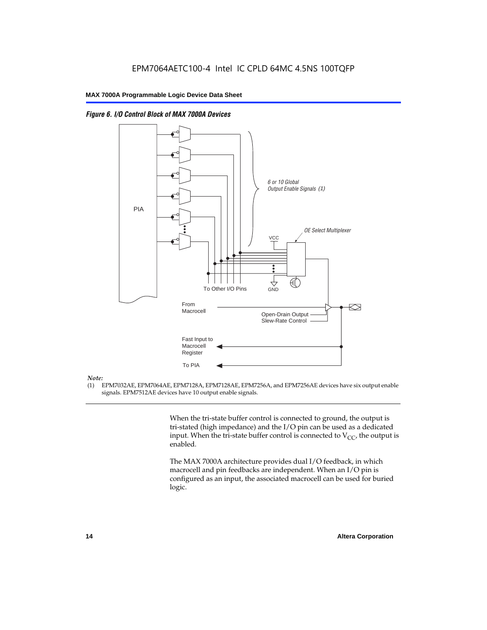

*Figure 6. I/O Control Block of MAX 7000A Devices*

#### *Note:*

(1) EPM7032AE, EPM7064AE, EPM7128A, EPM7128AE, EPM7256A, and EPM7256AE devices have six output enable signals. EPM7512AE devices have 10 output enable signals.

> When the tri-state buffer control is connected to ground, the output is tri-stated (high impedance) and the I/O pin can be used as a dedicated input. When the tri-state buffer control is connected to  $V_{CC}$ , the output is enabled.

The MAX 7000A architecture provides dual I/O feedback, in which macrocell and pin feedbacks are independent. When an I/O pin is configured as an input, the associated macrocell can be used for buried logic.

交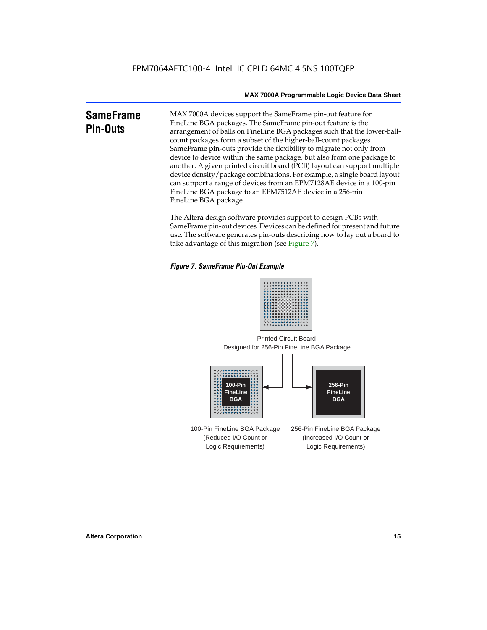#### **SameFrame Pin-Outs** MAX 7000A devices support the SameFrame pin-out feature for FineLine BGA packages. The SameFrame pin-out feature is the arrangement of balls on FineLine BGA packages such that the lower-ballcount packages form a subset of the higher-ball-count packages. SameFrame pin-outs provide the flexibility to migrate not only from device to device within the same package, but also from one package to another. A given printed circuit board (PCB) layout can support multiple device density/package combinations. For example, a single board layout can support a range of devices from an EPM7128AE device in a 100-pin FineLine BGA package to an EPM7512AE device in a 256-pin FineLine BGA package.

The Altera design software provides support to design PCBs with SameFrame pin-out devices. Devices can be defined for present and future use. The software generates pin-outs describing how to lay out a board to take advantage of this migration (see Figure 7).

### *Figure 7. SameFrame Pin-Out Example*



Designed for 256-Pin FineLine BGA Package Printed Circuit Board



100-Pin FineLine BGA Package (Reduced I/O Count or Logic Requirements) 256-Pin FineLine BGA Package (Increased I/O Count or Logic Requirements)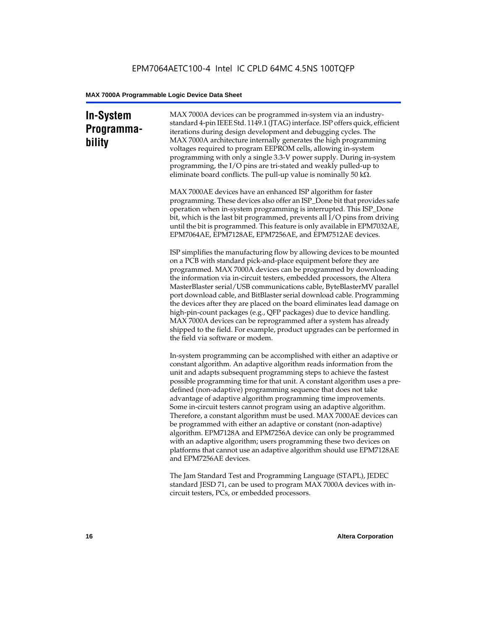# **In-System Programmability**

MAX 7000A devices can be programmed in-system via an industrystandard 4-pin IEEE Std. 1149.1 (JTAG) interface. ISP offers quick, efficient iterations during design development and debugging cycles. The MAX 7000A architecture internally generates the high programming voltages required to program EEPROM cells, allowing in-system programming with only a single 3.3-V power supply. During in-system programming, the I/O pins are tri-stated and weakly pulled-up to eliminate board conflicts. The pull-up value is nominally 50 k $\Omega$ .

MAX 7000AE devices have an enhanced ISP algorithm for faster programming. These devices also offer an ISP\_Done bit that provides safe operation when in-system programming is interrupted. This ISP\_Done bit, which is the last bit programmed, prevents all I/O pins from driving until the bit is programmed. This feature is only available in EPM7032AE, EPM7064AE, EPM7128AE, EPM7256AE, and EPM7512AE devices.

ISP simplifies the manufacturing flow by allowing devices to be mounted on a PCB with standard pick-and-place equipment before they are programmed. MAX 7000A devices can be programmed by downloading the information via in-circuit testers, embedded processors, the Altera MasterBlaster serial/USB communications cable, ByteBlasterMV parallel port download cable, and BitBlaster serial download cable. Programming the devices after they are placed on the board eliminates lead damage on high-pin-count packages (e.g., QFP packages) due to device handling. MAX 7000A devices can be reprogrammed after a system has already shipped to the field. For example, product upgrades can be performed in the field via software or modem.

In-system programming can be accomplished with either an adaptive or constant algorithm. An adaptive algorithm reads information from the unit and adapts subsequent programming steps to achieve the fastest possible programming time for that unit. A constant algorithm uses a predefined (non-adaptive) programming sequence that does not take advantage of adaptive algorithm programming time improvements. Some in-circuit testers cannot program using an adaptive algorithm. Therefore, a constant algorithm must be used. MAX 7000AE devices can be programmed with either an adaptive or constant (non-adaptive) algorithm. EPM7128A and EPM7256A device can only be programmed with an adaptive algorithm; users programming these two devices on platforms that cannot use an adaptive algorithm should use EPM7128AE and EPM7256AE devices.

The Jam Standard Test and Programming Language (STAPL), JEDEC standard JESD 71, can be used to program MAX 7000A devices with incircuit testers, PCs, or embedded processors.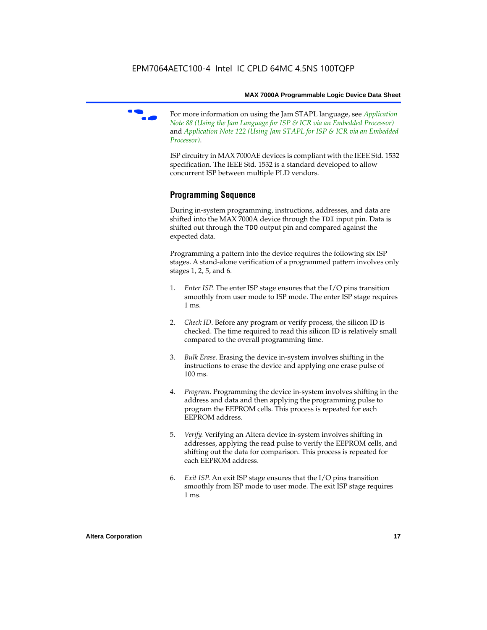

f For more information on using the Jam STAPL language, see *Application Note 88 (Using the Jam Language for ISP & ICR via an Embedded Processor)*  and *Application Note 122 (Using Jam STAPL for ISP & ICR via an Embedded Processor)*.

ISP circuitry in MAX 7000AE devices is compliant with the IEEE Std. 1532 specification. The IEEE Std. 1532 is a standard developed to allow concurrent ISP between multiple PLD vendors.

# **Programming Sequence**

During in-system programming, instructions, addresses, and data are shifted into the MAX 7000A device through the TDI input pin. Data is shifted out through the TDO output pin and compared against the expected data.

Programming a pattern into the device requires the following six ISP stages. A stand-alone verification of a programmed pattern involves only stages 1, 2, 5, and 6.

- 1. *Enter ISP*. The enter ISP stage ensures that the I/O pins transition smoothly from user mode to ISP mode. The enter ISP stage requires 1 ms.
- 2. *Check ID*. Before any program or verify process, the silicon ID is checked. The time required to read this silicon ID is relatively small compared to the overall programming time.
- 3. *Bulk Erase*. Erasing the device in-system involves shifting in the instructions to erase the device and applying one erase pulse of 100 ms.
- 4. *Program*. Programming the device in-system involves shifting in the address and data and then applying the programming pulse to program the EEPROM cells. This process is repeated for each EEPROM address.
- 5. *Verify*. Verifying an Altera device in-system involves shifting in addresses, applying the read pulse to verify the EEPROM cells, and shifting out the data for comparison. This process is repeated for each EEPROM address.
- 6. *Exit ISP*. An exit ISP stage ensures that the I/O pins transition smoothly from ISP mode to user mode. The exit ISP stage requires 1 ms.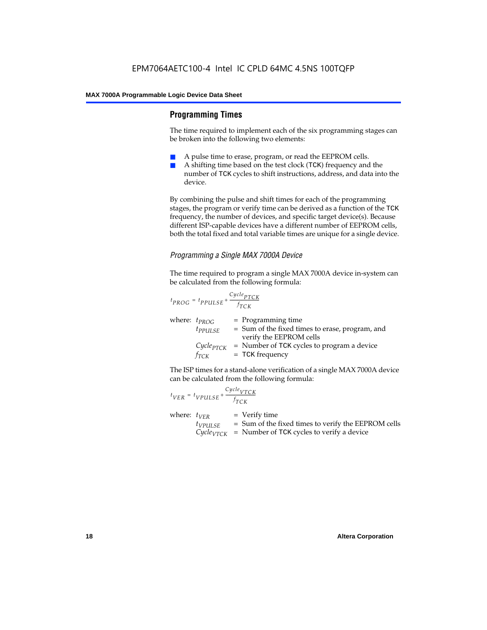# **Programming Times**

The time required to implement each of the six programming stages can be broken into the following two elements:

- A pulse time to erase, program, or read the EEPROM cells.
- A shifting time based on the test clock (TCK) frequency and the number of TCK cycles to shift instructions, address, and data into the device.

By combining the pulse and shift times for each of the programming stages, the program or verify time can be derived as a function of the TCK frequency, the number of devices, and specific target device(s). Because different ISP-capable devices have a different number of EEPROM cells, both the total fixed and total variable times are unique for a single device.

## *Programming a Single MAX 7000A Device*

The time required to program a single MAX 7000A device in-system can be calculated from the following formula:

$$
t_{PROG} = t_{PPULSE} + \frac{c_{ycle_{PTCK}}}{f_{TCK}}
$$
  
where:  $t_{PROG}$  = Programming time  
 $t_{PPULSE}$  = Sum of the fixed times to erase, program, and  
verify the EEPROM cells  
 $C_{ycle_{PTCK}}$  = Number of TCK cycles to program a device  
 $f_{TCK}$  = TCK frequency

The ISP times for a stand-alone verification of a single MAX 7000A device can be calculated from the following formula:

| $t_{VER} = t_{VPULSE} + \frac{Cycle_{VTCK}}{f_{TCK}}$ |                                                                                                                                    |
|-------------------------------------------------------|------------------------------------------------------------------------------------------------------------------------------------|
| where: $t_{VFR}$<br>$t_{VPULSE}$                      | $=$ Verify time<br>= Sum of the fixed times to verify the EEPROM cells<br>$Cycle_{VTCK}$ = Number of TCK cycles to verify a device |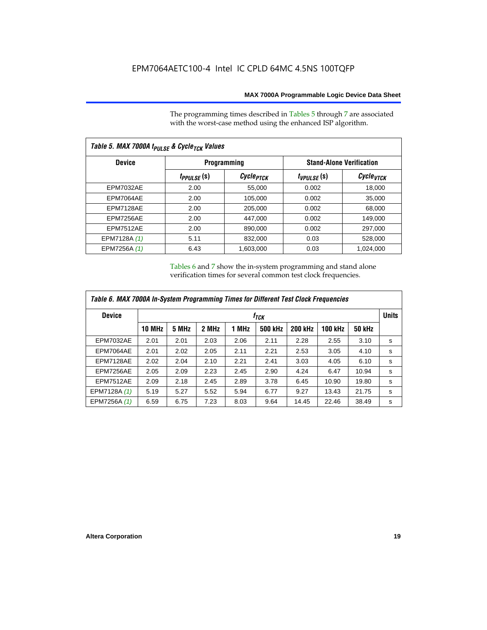The programming times described in Tables 5 through 7 are associated with the worst-case method using the enhanced ISP algorithm.

| Table 5. MAX 7000A t <sub>PULSE</sub> & Cycle <sub>TCK</sub> Values |                 |                             |                 |                                 |  |  |  |  |
|---------------------------------------------------------------------|-----------------|-----------------------------|-----------------|---------------------------------|--|--|--|--|
| <b>Device</b>                                                       |                 | <b>Programming</b>          |                 | <b>Stand-Alone Verification</b> |  |  |  |  |
|                                                                     | $t_{PPULSE}(s)$ | <i>Cycle<sub>PTCK</sub></i> | $t_{VPULSE}(s)$ | Cycle <sub>VTCK</sub>           |  |  |  |  |
| <b>EPM7032AE</b>                                                    | 2.00            | 55,000                      | 0.002           | 18,000                          |  |  |  |  |
| EPM7064AE                                                           | 2.00            | 105.000                     | 0.002           | 35.000                          |  |  |  |  |
| EPM7128AE                                                           | 2.00            | 205.000                     | 0.002           | 68.000                          |  |  |  |  |
| EPM7256AE                                                           | 2.00            | 447.000                     | 0.002           | 149.000                         |  |  |  |  |
| <b>EPM7512AE</b>                                                    | 2.00            | 890,000                     | 0.002           | 297,000                         |  |  |  |  |
| EPM7128A (1)                                                        | 5.11            | 832,000                     | 0.03            | 528,000                         |  |  |  |  |
| EPM7256A (1)                                                        | 6.43            | 1,603,000                   | 0.03            | 1,024,000                       |  |  |  |  |

Tables 6 and 7 show the in-system programming and stand alone verification times for several common test clock frequencies.

| Table 6. MAX 7000A In-System Programming Times for Different Test Clock Frequencies |               |                  |       |       |                |                |                |               |   |
|-------------------------------------------------------------------------------------|---------------|------------------|-------|-------|----------------|----------------|----------------|---------------|---|
| <b>Device</b>                                                                       |               | t <sub>тск</sub> |       |       |                |                |                |               |   |
|                                                                                     | <b>10 MHz</b> | 5 MHz            | 2 MHz | 1 MHz | <b>500 kHz</b> | <b>200 kHz</b> | <b>100 kHz</b> | <b>50 kHz</b> |   |
| <b>EPM7032AE</b>                                                                    | 2.01          | 2.01             | 2.03  | 2.06  | 2.11           | 2.28           | 2.55           | 3.10          | s |
| EPM7064AE                                                                           | 2.01          | 2.02             | 2.05  | 2.11  | 2.21           | 2.53           | 3.05           | 4.10          | s |
| EPM7128AE                                                                           | 2.02          | 2.04             | 2.10  | 2.21  | 2.41           | 3.03           | 4.05           | 6.10          | s |
| EPM7256AE                                                                           | 2.05          | 2.09             | 2.23  | 2.45  | 2.90           | 4.24           | 6.47           | 10.94         | s |
| <b>EPM7512AE</b>                                                                    | 2.09          | 2.18             | 2.45  | 2.89  | 3.78           | 6.45           | 10.90          | 19.80         | s |
| EPM7128A (1)                                                                        | 5.19          | 5.27             | 5.52  | 5.94  | 6.77           | 9.27           | 13.43          | 21.75         | s |
| EPM7256A (1)                                                                        | 6.59          | 6.75             | 7.23  | 8.03  | 9.64           | 14.45          | 22.46          | 38.49         | s |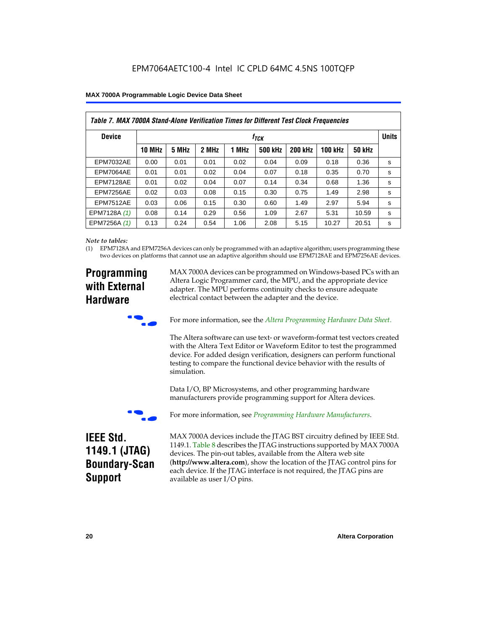| Table 7. MAX 7000A Stand-Alone Verification Times for Different Test Clock Frequencies |               |                               |       |       |                |                |                |               |   |
|----------------------------------------------------------------------------------------|---------------|-------------------------------|-------|-------|----------------|----------------|----------------|---------------|---|
| <b>Device</b>                                                                          |               | <b>Units</b><br>$t_{\rm TCK}$ |       |       |                |                |                |               |   |
|                                                                                        | <b>10 MHz</b> | 5 MHz                         | 2 MHz | 1 MHz | <b>500 kHz</b> | <b>200 kHz</b> | <b>100 kHz</b> | <b>50 kHz</b> |   |
| <b>EPM7032AE</b>                                                                       | 0.00          | 0.01                          | 0.01  | 0.02  | 0.04           | 0.09           | 0.18           | 0.36          | s |
| EPM7064AE                                                                              | 0.01          | 0.01                          | 0.02  | 0.04  | 0.07           | 0.18           | 0.35           | 0.70          | s |
| EPM7128AE                                                                              | 0.01          | 0.02                          | 0.04  | 0.07  | 0.14           | 0.34           | 0.68           | 1.36          | s |
| EPM7256AE                                                                              | 0.02          | 0.03                          | 0.08  | 0.15  | 0.30           | 0.75           | 1.49           | 2.98          | S |
| <b>EPM7512AE</b>                                                                       | 0.03          | 0.06                          | 0.15  | 0.30  | 0.60           | 1.49           | 2.97           | 5.94          | s |
| EPM7128A (1)                                                                           | 0.08          | 0.14                          | 0.29  | 0.56  | 1.09           | 2.67           | 5.31           | 10.59         | s |
| EPM7256A (1)                                                                           | 0.13          | 0.24                          | 0.54  | 1.06  | 2.08           | 5.15           | 10.27          | 20.51         | s |

#### *Note to tables:*

(1) EPM7128A and EPM7256A devices can only be programmed with an adaptive algorithm; users programming these two devices on platforms that cannot use an adaptive algorithm should use EPM7128AE and EPM7256AE devices.

# **Programming with External Hardware**

MAX 7000A devices can be programmed on Windows-based PCs with an Altera Logic Programmer card, the MPU, and the appropriate device adapter. The MPU performs continuity checks to ensure adequate electrical contact between the adapter and the device.



For more information, see the *Altera Programming Hardware Data Sheet*.

The Altera software can use text- or waveform-format test vectors created with the Altera Text Editor or Waveform Editor to test the programmed device. For added design verification, designers can perform functional testing to compare the functional device behavior with the results of simulation.

Data I/O, BP Microsystems, and other programming hardware manufacturers provide programming support for Altera devices.



For more information, see *Programming Hardware Manufacturers*.

# **IEEE Std. 1149.1 (JTAG) Boundary-Scan Support**

MAX 7000A devices include the JTAG BST circuitry defined by IEEE Std. 1149.1. Table 8 describes the JTAG instructions supported by MAX 7000A devices. The pin-out tables, available from the Altera web site (**http://www.altera.com**), show the location of the JTAG control pins for each device. If the JTAG interface is not required, the JTAG pins are available as user I/O pins.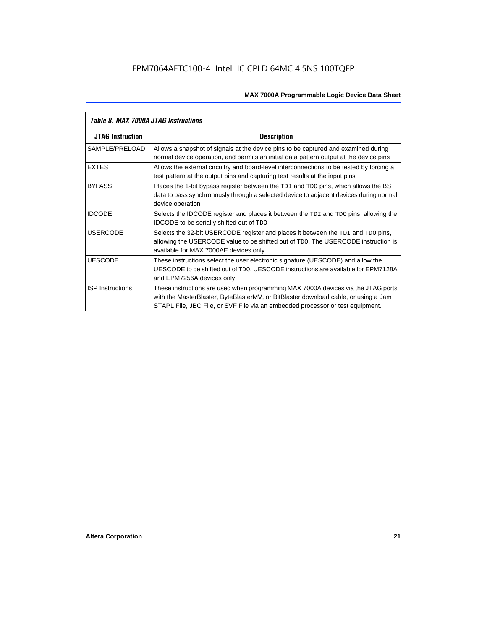| Table 8. MAX 7000A JTAG Instructions |                                                                                                                                                                                                                                                            |  |  |  |  |  |
|--------------------------------------|------------------------------------------------------------------------------------------------------------------------------------------------------------------------------------------------------------------------------------------------------------|--|--|--|--|--|
| <b>JTAG Instruction</b>              | <b>Description</b>                                                                                                                                                                                                                                         |  |  |  |  |  |
| SAMPLE/PRELOAD                       | Allows a snapshot of signals at the device pins to be captured and examined during<br>normal device operation, and permits an initial data pattern output at the device pins                                                                               |  |  |  |  |  |
| <b>EXTEST</b>                        | Allows the external circuitry and board-level interconnections to be tested by forcing a<br>test pattern at the output pins and capturing test results at the input pins                                                                                   |  |  |  |  |  |
| <b>BYPASS</b>                        | Places the 1-bit bypass register between the TDI and TDO pins, which allows the BST<br>data to pass synchronously through a selected device to adjacent devices during normal<br>device operation                                                          |  |  |  |  |  |
| <b>IDCODE</b>                        | Selects the IDCODE register and places it between the TDI and TDO pins, allowing the<br><b>IDCODE</b> to be serially shifted out of TDO                                                                                                                    |  |  |  |  |  |
| <b>USERCODE</b>                      | Selects the 32-bit USERCODE register and places it between the TDI and TDO pins,<br>allowing the USERCODE value to be shifted out of TDO. The USERCODE instruction is<br>available for MAX 7000AE devices only                                             |  |  |  |  |  |
| <b>UESCODE</b>                       | These instructions select the user electronic signature (UESCODE) and allow the<br>UESCODE to be shifted out of TDO. UESCODE instructions are available for EPM7128A<br>and EPM7256A devices only.                                                         |  |  |  |  |  |
| <b>ISP</b> Instructions              | These instructions are used when programming MAX 7000A devices via the JTAG ports<br>with the MasterBlaster, ByteBlasterMV, or BitBlaster download cable, or using a Jam<br>STAPL File, JBC File, or SVF File via an embedded processor or test equipment. |  |  |  |  |  |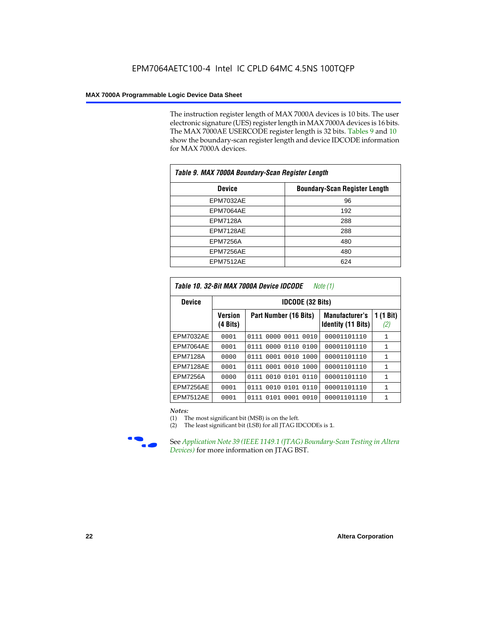The instruction register length of MAX 7000A devices is 10 bits. The user electronic signature (UES) register length in MAX 7000A devices is 16 bits. The MAX 7000AE USERCODE register length is 32 bits. Tables 9 and 10 show the boundary-scan register length and device IDCODE information for MAX 7000A devices.

| Table 9. MAX 7000A Boundary-Scan Register Length |                                      |  |  |  |  |
|--------------------------------------------------|--------------------------------------|--|--|--|--|
| <b>Device</b>                                    | <b>Boundary-Scan Register Length</b> |  |  |  |  |
| <b>EPM7032AE</b>                                 | 96                                   |  |  |  |  |
| EPM7064AE                                        | 192                                  |  |  |  |  |
| <b>EPM7128A</b>                                  | 288                                  |  |  |  |  |
| EPM7128AE                                        | 288                                  |  |  |  |  |
| <b>EPM7256A</b>                                  | 480                                  |  |  |  |  |
| EPM7256AE                                        | 480                                  |  |  |  |  |
| EPM7512AE                                        | 624                                  |  |  |  |  |

| Table 10. 32-Bit MAX 7000A Device IDCODE<br>Note (1) |                            |                              |                                                    |                               |  |  |  |  |  |
|------------------------------------------------------|----------------------------|------------------------------|----------------------------------------------------|-------------------------------|--|--|--|--|--|
| <b>Device</b>                                        |                            | <b>IDCODE (32 Bits)</b>      |                                                    |                               |  |  |  |  |  |
|                                                      | <b>Version</b><br>(4 Bits) | Part Number (16 Bits)        | <b>Manufacturer's</b><br><b>Identity (11 Bits)</b> | $(1 \text{ Bit})$<br>1<br>(2) |  |  |  |  |  |
| <b>EPM7032AE</b>                                     | 0001                       | 0000<br>0011<br>0010<br>0111 | 00001101110                                        | $\mathbf{1}$                  |  |  |  |  |  |
| EPM7064AE                                            | 0001                       | 0000<br>0110<br>0100<br>0111 | 00001101110                                        | $\mathbf{1}$                  |  |  |  |  |  |
| <b>EPM7128A</b>                                      | 0000                       | 0111 0001 0010<br>1000       | 00001101110                                        | 1                             |  |  |  |  |  |
| EPM7128AE                                            | 0001                       | 0111 0001 0010<br>1000       | 00001101110                                        | 1                             |  |  |  |  |  |
| <b>EPM7256A</b>                                      | 0000                       | 0111 0010 0101 0110          | 00001101110                                        | 1                             |  |  |  |  |  |
| EPM7256AE                                            | 0001                       | 0111 0010 0101 0110          | 00001101110                                        | $\mathbf{1}$                  |  |  |  |  |  |
| <b>EPM7512AE</b>                                     | 0001                       | 0111 0101 0001 0010          | 00001101110                                        | $\mathbf{1}$                  |  |  |  |  |  |

#### *Notes:*

(1) The most significant bit (MSB) is on the left.

(2) The least significant bit (LSB) for all JTAG IDCODEs is 1.



**Figure 39 (IEEE 1149.1 (JTAG) Boundary-Scan Testing in Altera** *Devices)* for more information on JTAG BST.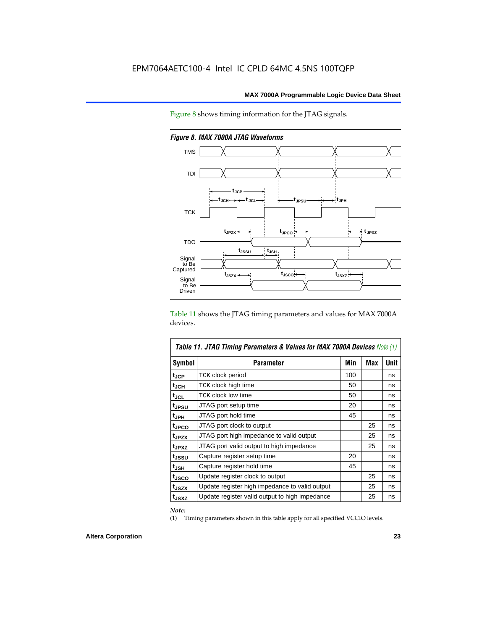Figure 8 shows timing information for the JTAG signals.



*Figure 8. MAX 7000A JTAG Waveforms*

Table 11 shows the JTAG timing parameters and values for MAX 7000A devices.

| <b>Table 11. JTAG Timing Parameters &amp; Values for MAX 7000A Devices Note (1)</b> |                                                |     |     |             |  |  |  |
|-------------------------------------------------------------------------------------|------------------------------------------------|-----|-----|-------------|--|--|--|
| <b>Symbol</b>                                                                       | <b>Parameter</b>                               | Min | Max | <b>Unit</b> |  |  |  |
| t <sub>JCP</sub>                                                                    | TCK clock period                               | 100 |     | ns          |  |  |  |
| tjch                                                                                | TCK clock high time                            | 50  |     | ns          |  |  |  |
| tjcl                                                                                | TCK clock low time                             | 50  |     | ns          |  |  |  |
| tjpsu                                                                               | JTAG port setup time                           | 20  |     | ns          |  |  |  |
| t <sub>JPH</sub>                                                                    | JTAG port hold time                            | 45  |     | ns          |  |  |  |
| t <sub>JPCO</sub>                                                                   | JTAG port clock to output                      |     | 25  | ns          |  |  |  |
| t <sub>JPZX</sub>                                                                   | JTAG port high impedance to valid output       |     | 25  | ns          |  |  |  |
| t <sub>JPXZ</sub>                                                                   | JTAG port valid output to high impedance       |     | 25  | ns          |  |  |  |
| tjssu                                                                               | Capture register setup time                    | 20  |     | ns          |  |  |  |
| $t_{JSH}$                                                                           | Capture register hold time                     | 45  |     | ns          |  |  |  |
| t <sub>JSCO</sub>                                                                   | Update register clock to output                |     | 25  | ns          |  |  |  |
| t <sub>JSZX</sub>                                                                   | Update register high impedance to valid output |     | 25  | ns          |  |  |  |
| t <sub>JSXZ</sub>                                                                   | Update register valid output to high impedance |     | 25  | ns          |  |  |  |

*Note:*

(1) Timing parameters shown in this table apply for all specified VCCIO levels.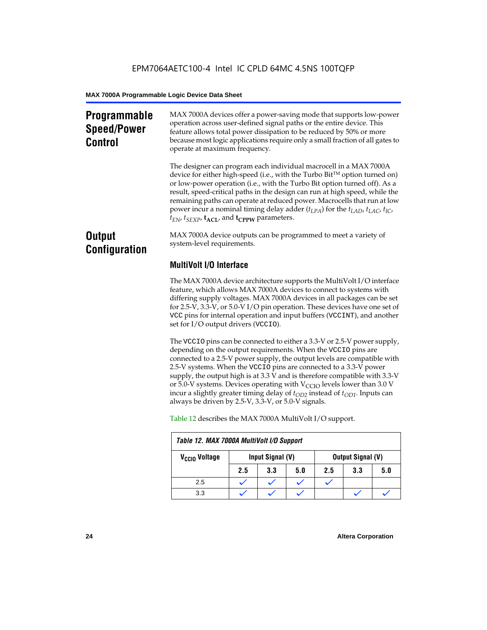# **Programmable Speed/Power Control**

MAX 7000A devices offer a power-saving mode that supports low-power operation across user-defined signal paths or the entire device. This feature allows total power dissipation to be reduced by 50% or more because most logic applications require only a small fraction of all gates to operate at maximum frequency.

The designer can program each individual macrocell in a MAX 7000A device for either high-speed (i.e., with the Turbo  $Bit^{TM}$  option turned on) or low-power operation (i.e., with the Turbo Bit option turned off). As a result, speed-critical paths in the design can run at high speed, while the remaining paths can operate at reduced power. Macrocells that run at low power incur a nominal timing delay adder ( $t_{LPA}$ ) for the  $t_{LAD}$ ,  $t_{LAC}$ ,  $t_{IC}$ ,  $t_{EN}$ ,  $t_{SEXP}$ ,  $t_{ACL}$ , and  $t_{CPPW}$  parameters.

# **Output Configuration**

MAX 7000A device outputs can be programmed to meet a variety of system-level requirements.

# **MultiVolt I/O Interface**

The MAX 7000A device architecture supports the MultiVolt I/O interface feature, which allows MAX 7000A devices to connect to systems with differing supply voltages. MAX 7000A devices in all packages can be set for 2.5-V, 3.3-V, or 5.0-V I/O pin operation. These devices have one set of VCC pins for internal operation and input buffers (VCCINT), and another set for I/O output drivers (VCCIO).

The VCCIO pins can be connected to either a 3.3-V or 2.5-V power supply, depending on the output requirements. When the VCCIO pins are connected to a 2.5-V power supply, the output levels are compatible with 2.5-V systems. When the VCCIO pins are connected to a 3.3-V power supply, the output high is at 3.3 V and is therefore compatible with 3.3-V or 5.0-V systems. Devices operating with  $V_{\text{CCIO}}$  levels lower than 3.0 V incur a slightly greater timing delay of  $t_{OD2}$  instead of  $t_{OD1}$ . Inputs can always be driven by 2.5-V, 3.3-V, or 5.0-V signals.

|                           | Table 12. MAX 7000A MultiVolt I/O Support |                  |     |     |                          |     |  |  |  |  |
|---------------------------|-------------------------------------------|------------------|-----|-----|--------------------------|-----|--|--|--|--|
| V <sub>CCIO</sub> Voltage |                                           | Input Signal (V) |     |     | <b>Output Signal (V)</b> |     |  |  |  |  |
|                           | 2.5                                       | 3.3              | 5.0 | 2.5 | 3.3                      | 5.0 |  |  |  |  |
| 2.5                       |                                           |                  |     |     |                          |     |  |  |  |  |
| 3.3                       |                                           |                  |     |     |                          |     |  |  |  |  |

Table 12 describes the MAX 7000A MultiVolt I/O support.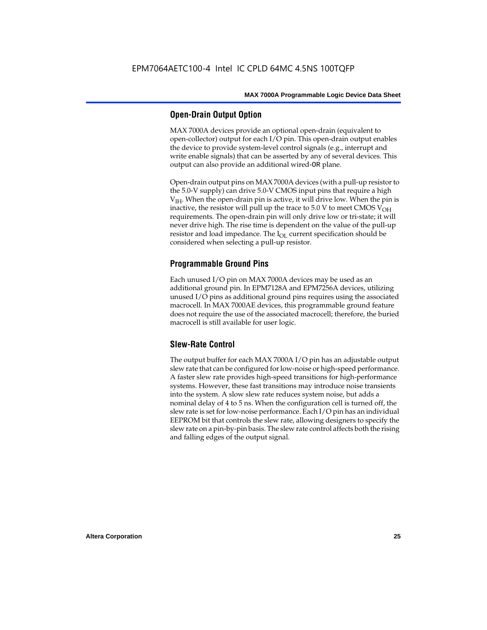# **Open-Drain Output Option**

MAX 7000A devices provide an optional open-drain (equivalent to open-collector) output for each I/O pin. This open-drain output enables the device to provide system-level control signals (e.g., interrupt and write enable signals) that can be asserted by any of several devices. This output can also provide an additional wired-OR plane.

Open-drain output pins on MAX 7000A devices (with a pull-up resistor to the 5.0-V supply) can drive 5.0-V CMOS input pins that require a high  $V<sub>IH</sub>$ . When the open-drain pin is active, it will drive low. When the pin is inactive, the resistor will pull up the trace to  $5.0$  V to meet CMOS V<sub>OH</sub> requirements. The open-drain pin will only drive low or tri-state; it will never drive high. The rise time is dependent on the value of the pull-up resistor and load impedance. The  $I_{OL}$  current specification should be considered when selecting a pull-up resistor.

# **Programmable Ground Pins**

Each unused I/O pin on MAX 7000A devices may be used as an additional ground pin. In EPM7128A and EPM7256A devices, utilizing unused I/O pins as additional ground pins requires using the associated macrocell. In MAX 7000AE devices, this programmable ground feature does not require the use of the associated macrocell; therefore, the buried macrocell is still available for user logic.

# **Slew-Rate Control**

The output buffer for each MAX 7000A I/O pin has an adjustable output slew rate that can be configured for low-noise or high-speed performance. A faster slew rate provides high-speed transitions for high-performance systems. However, these fast transitions may introduce noise transients into the system. A slow slew rate reduces system noise, but adds a nominal delay of 4 to 5 ns. When the configuration cell is turned off, the slew rate is set for low-noise performance. Each I/O pin has an individual EEPROM bit that controls the slew rate, allowing designers to specify the slew rate on a pin-by-pin basis. The slew rate control affects both the rising and falling edges of the output signal.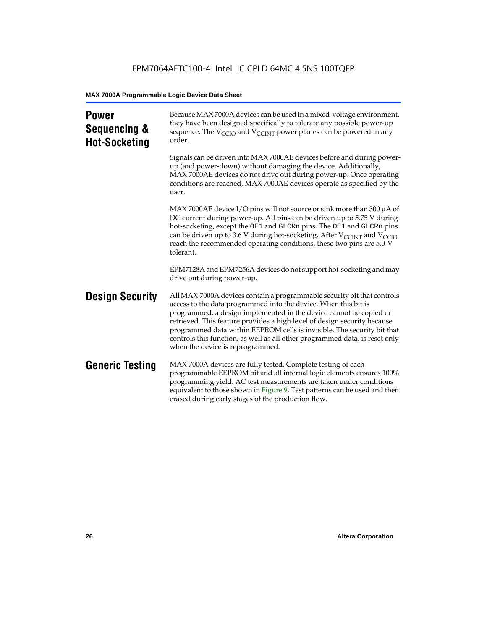| <b>Power</b><br>Sequencing &<br><b>Hot-Socketing</b> | Because MAX 7000A devices can be used in a mixed-voltage environment,<br>they have been designed specifically to tolerate any possible power-up<br>sequence. The $V_{\text{CCIO}}$ and $V_{\text{CCINT}}$ power planes can be powered in any<br>order.                                                                                                                                                                                                                                     |
|------------------------------------------------------|--------------------------------------------------------------------------------------------------------------------------------------------------------------------------------------------------------------------------------------------------------------------------------------------------------------------------------------------------------------------------------------------------------------------------------------------------------------------------------------------|
|                                                      | Signals can be driven into MAX 7000AE devices before and during power-<br>up (and power-down) without damaging the device. Additionally,<br>MAX 7000AE devices do not drive out during power-up. Once operating<br>conditions are reached, MAX 7000AE devices operate as specified by the<br>user.                                                                                                                                                                                         |
|                                                      | MAX 7000AE device I/O pins will not source or sink more than 300 µA of<br>DC current during power-up. All pins can be driven up to 5.75 V during<br>hot-socketing, except the OE1 and GLCRn pins. The OE1 and GLCRn pins<br>can be driven up to 3.6 V during hot-socketing. After $V_{\text{CCINT}}$ and $V_{\text{CCIO}}$<br>reach the recommended operating conditions, these two pins are 5.0-V<br>tolerant.                                                                            |
|                                                      | EPM7128A and EPM7256A devices do not support hot-socketing and may<br>drive out during power-up.                                                                                                                                                                                                                                                                                                                                                                                           |
| <b>Design Security</b>                               | All MAX 7000A devices contain a programmable security bit that controls<br>access to the data programmed into the device. When this bit is<br>programmed, a design implemented in the device cannot be copied or<br>retrieved. This feature provides a high level of design security because<br>programmed data within EEPROM cells is invisible. The security bit that<br>controls this function, as well as all other programmed data, is reset only<br>when the device is reprogrammed. |
| <b>Generic Testing</b>                               | MAX 7000A devices are fully tested. Complete testing of each<br>programmable EEPROM bit and all internal logic elements ensures 100%<br>programming yield. AC test measurements are taken under conditions<br>equivalent to those shown in Figure 9. Test patterns can be used and then<br>erased during early stages of the production flow.                                                                                                                                              |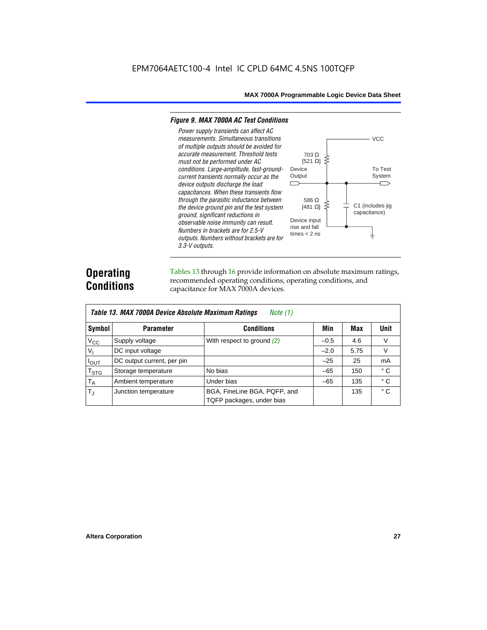#### *Figure 9. MAX 7000A AC Test Conditions*

*3.3-V outputs.*



# **Operating Conditions**

Tables 13 through 16 provide information on absolute maximum ratings, recommended operating conditions, operating conditions, and capacitance for MAX 7000A devices.

|                | Table 13. MAX 7000A Device Absolute Maximum Ratings<br>Note $(1)$ |                                                           |        |      |              |  |  |  |  |  |  |
|----------------|-------------------------------------------------------------------|-----------------------------------------------------------|--------|------|--------------|--|--|--|--|--|--|
| Symbol         | <b>Parameter</b>                                                  | <b>Conditions</b>                                         | Min    | Max  | Unit         |  |  |  |  |  |  |
| $V_{CC}$       | Supply voltage                                                    | With respect to ground $(2)$                              | $-0.5$ | 4.6  | V            |  |  |  |  |  |  |
| V <sub>1</sub> | DC input voltage                                                  |                                                           | $-2.0$ | 5.75 | V            |  |  |  |  |  |  |
| $I_{OUT}$      | DC output current, per pin                                        |                                                           | $-25$  | 25   | mA           |  |  |  |  |  |  |
| $T_{STG}$      | Storage temperature                                               | No bias                                                   | $-65$  | 150  | $^{\circ}$ C |  |  |  |  |  |  |
| $T_A$          | Ambient temperature                                               | Under bias                                                | $-65$  | 135  | ° C          |  |  |  |  |  |  |
| $T_{\rm J}$    | Junction temperature                                              | BGA, FineLine BGA, PQFP, and<br>TQFP packages, under bias |        | 135  | $^{\circ}$ C |  |  |  |  |  |  |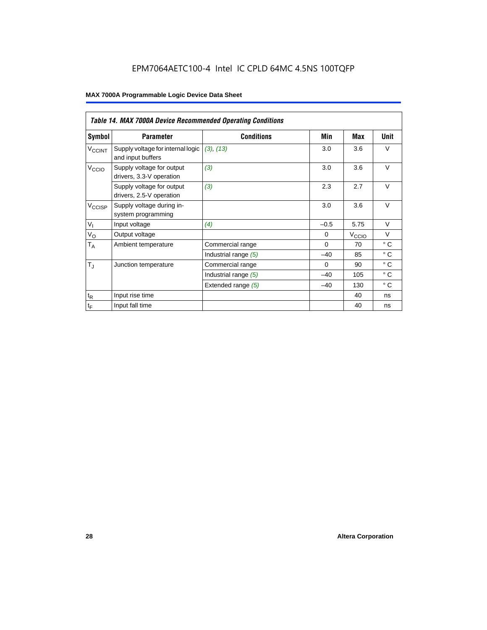# EPM7064AETC100-4 Intel IC CPLD 64MC 4.5NS 100TQFP

|                             | Table 14. MAX 7000A Device Recommended Operating Conditions |                      |          |                   |              |  |  |  |  |  |
|-----------------------------|-------------------------------------------------------------|----------------------|----------|-------------------|--------------|--|--|--|--|--|
| Symbol                      | <b>Parameter</b>                                            | <b>Conditions</b>    | Min      | Max               | Unit         |  |  |  |  |  |
| $V_{\rm CCINT}$             | Supply voltage for internal logic<br>and input buffers      | (3), (13)            | 3.0      | 3.6               | $\vee$       |  |  |  |  |  |
| V <sub>CCIO</sub>           | Supply voltage for output<br>drivers, 3.3-V operation       | (3)                  | 3.0      | 3.6               | $\vee$       |  |  |  |  |  |
|                             | Supply voltage for output<br>drivers, 2.5-V operation       | (3)                  | 2.3      | 2.7               | $\vee$       |  |  |  |  |  |
| $V_{\text{CCISP}}$          | Supply voltage during in-<br>system programming             |                      | 3.0      | 3.6               | $\vee$       |  |  |  |  |  |
| $V_{I}$                     | Input voltage                                               | (4)                  | $-0.5$   | 5.75              | $\vee$       |  |  |  |  |  |
| $V_{\rm O}$                 | Output voltage                                              |                      | $\Omega$ | V <sub>CCIO</sub> | $\vee$       |  |  |  |  |  |
| $\mathsf{T}_\mathsf{A}$     | Ambient temperature                                         | Commercial range     | $\Omega$ | 70                | $^{\circ}$ C |  |  |  |  |  |
|                             |                                                             | Industrial range (5) | $-40$    | 85                | $\circ$ C    |  |  |  |  |  |
| $T_{\rm J}$                 | Junction temperature                                        | Commercial range     | $\Omega$ | 90                | $^{\circ}$ C |  |  |  |  |  |
|                             |                                                             | Industrial range (5) | $-40$    | 105               | $^{\circ}$ C |  |  |  |  |  |
|                             |                                                             | Extended range (5)   | $-40$    | 130               | $^{\circ}$ C |  |  |  |  |  |
| $\mathfrak{t}_{\mathsf{R}}$ | Input rise time                                             |                      |          | 40                | ns           |  |  |  |  |  |
| $\mathfrak{t}_{\mathsf{F}}$ | Input fall time                                             |                      |          | 40                | ns           |  |  |  |  |  |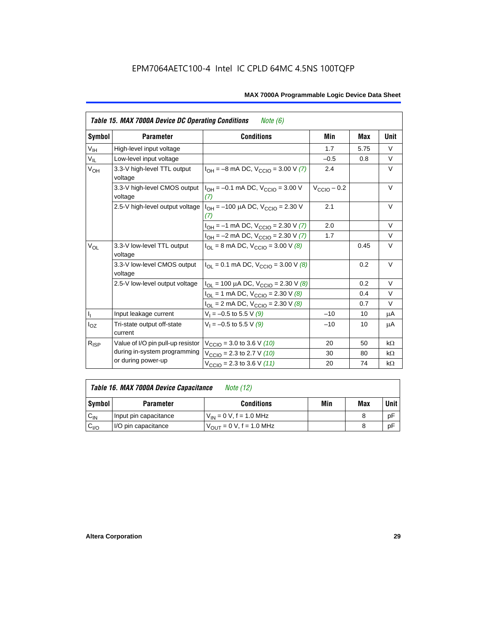|                 | <b>Table 15. MAX 7000A Device DC Operating Conditions</b><br><i>Note</i> $(6)$ |                                                                                        |                         |      |           |  |  |  |  |  |
|-----------------|--------------------------------------------------------------------------------|----------------------------------------------------------------------------------------|-------------------------|------|-----------|--|--|--|--|--|
| Symbol          | <b>Parameter</b>                                                               | <b>Conditions</b>                                                                      | Min                     | Max  | Unit      |  |  |  |  |  |
| $V_{\text{IH}}$ | High-level input voltage                                                       |                                                                                        | 1.7                     | 5.75 | $\vee$    |  |  |  |  |  |
| $V_{IL}$        | Low-level input voltage                                                        |                                                                                        | $-0.5$                  | 0.8  | V         |  |  |  |  |  |
| V <sub>OH</sub> | 3.3-V high-level TTL output<br>voltage                                         | $I_{OH} = -8$ mA DC, $V_{CCIO} = 3.00$ V (7)                                           | 2.4                     |      | V         |  |  |  |  |  |
|                 | 3.3-V high-level CMOS output<br>voltage                                        | $I_{OH} = -0.1$ mA DC, $V_{CCIO} = 3.00$ V<br>(7)                                      | $V_{\text{CCIO}} - 0.2$ |      | $\vee$    |  |  |  |  |  |
|                 |                                                                                | 2.5-V high-level output voltage $ I_{OH} = -100 \mu A DC$ , $V_{CClO} = 2.30 V$<br>(7) | 2.1                     |      | V         |  |  |  |  |  |
|                 |                                                                                | $I_{OH} = -1$ mA DC, $V_{CCIO} = 2.30$ V (7)                                           | 2.0                     |      | $\vee$    |  |  |  |  |  |
|                 |                                                                                | $I_{OH} = -2$ mA DC, $V_{CCIO} = 2.30$ V (7)                                           | 1.7                     |      | $\vee$    |  |  |  |  |  |
| $V_{OL}$        | 3.3-V low-level TTL output<br>voltage                                          | $I_{\text{OI}}$ = 8 mA DC, $V_{\text{CCl}}$ = 3.00 V (8)                               |                         | 0.45 | $\vee$    |  |  |  |  |  |
|                 | 3.3-V low-level CMOS output<br>voltage                                         | $I_{\text{OI}} = 0.1 \text{ mA DC}$ , $V_{\text{CCl}} = 3.00 \text{ V}$ (8)            |                         | 0.2  | V         |  |  |  |  |  |
|                 | 2.5-V low-level output voltage                                                 | $I_{OL}$ = 100 µA DC, $V_{CCIO}$ = 2.30 V (8)                                          |                         | 0.2  | $\vee$    |  |  |  |  |  |
|                 |                                                                                | $I_{OL}$ = 1 mA DC, $V_{CCIO}$ = 2.30 V (8)                                            |                         | 0.4  | $\vee$    |  |  |  |  |  |
|                 |                                                                                | $I_{OL}$ = 2 mA DC, $V_{CCIO}$ = 2.30 V (8)                                            |                         | 0.7  | $\vee$    |  |  |  |  |  |
|                 | Input leakage current                                                          | $V_1 = -0.5$ to 5.5 V (9)                                                              | $-10$                   | 10   | μA        |  |  |  |  |  |
| $I_{OZ}$        | Tri-state output off-state<br>current                                          | $V_1 = -0.5$ to 5.5 V (9)                                                              | $-10$                   | 10   | μA        |  |  |  |  |  |
| $R_{ISP}$       | Value of I/O pin pull-up resistor                                              | $V_{\text{CCIO}}$ = 3.0 to 3.6 V (10)                                                  | 20                      | 50   | $k\Omega$ |  |  |  |  |  |
|                 | during in-system programming                                                   | $V_{\text{CCIO}}$ = 2.3 to 2.7 V (10)                                                  | 30                      | 80   | $k\Omega$ |  |  |  |  |  |
|                 | or during power-up                                                             | $V_{\text{CCIO}} = 2.3$ to 3.6 V (11)                                                  | 20                      | 74   | $k\Omega$ |  |  |  |  |  |

| Table 16. MAX 7000A Device Capacitance | Note (12) |
|----------------------------------------|-----------|
|                                        |           |

| Symbol    | <b>Parameter</b>      | <b>Conditions</b>                   | Min | Max | Unit |
|-----------|-----------------------|-------------------------------------|-----|-----|------|
| $C_{IN}$  | Input pin capacitance | $V_{IN} = 0$ V, f = 1.0 MHz         |     |     | рF   |
| $v_{1/0}$ | I/O pin capacitance   | $V_{\text{OUT}} = 0 V, f = 1.0 MHz$ |     |     | рF   |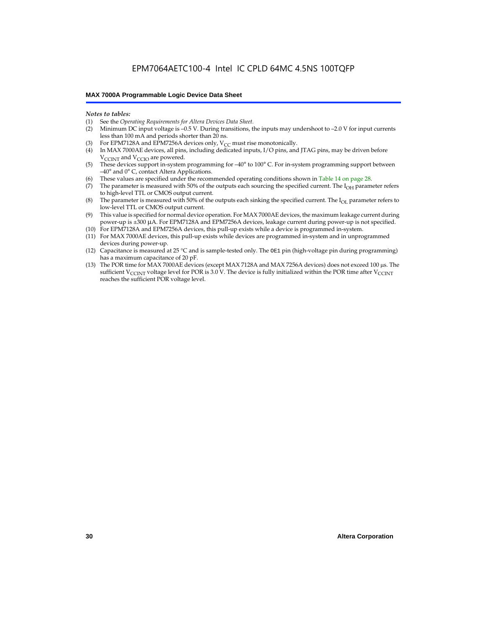#### *Notes to tables:*

- (1) See the *Operating Requirements for Altera Devices Data Sheet.*
- Minimum DC input voltage is –0.5 V. During transitions, the inputs may undershoot to –2.0 V for input currents less than 100 mA and periods shorter than 20 ns.
- (3) For EPM7128A and EPM7256A devices only,  $V_{CC}$  must rise monotonically.
- (4) In MAX 7000AE devices, all pins, including dedicated inputs, I/O pins, and JTAG pins, may be driven before V<sub>CCINT</sub> and V<sub>CCIO</sub> are powered.
- (5) These devices support in-system programming for –40° to 100° C. For in-system programming support between –40° and 0° C, contact Altera Applications.
- (6) These values are specified under the recommended operating conditions shown in Table 14 on page 28.
- (7) The parameter is measured with 50% of the outputs each sourcing the specified current. The  $I_{OH}$  parameter refers to high-level TTL or CMOS output current.
- (8) The parameter is measured with 50% of the outputs each sinking the specified current. The  $I_{OL}$  parameter refers to low-level TTL or CMOS output current.
- (9) This value is specified for normal device operation. For MAX 7000AE devices, the maximum leakage current during power-up is ±300 µA. For EPM7128A and EPM7256A devices, leakage current during power-up is not specified.
- (10) For EPM7128A and EPM7256A devices, this pull-up exists while a device is programmed in-system.
- (11) For MAX 7000AE devices, this pull-up exists while devices are programmed in-system and in unprogrammed devices during power-up.
- (12) Capacitance is measured at 25 °C and is sample-tested only. The OE1 pin (high-voltage pin during programming) has a maximum capacitance of 20 pF.
- (13) The POR time for MAX 7000AE devices (except MAX 7128A and MAX 7256A devices) does not exceed 100 µs. The sufficient V<sub>CCINT</sub> voltage level for POR is 3.0 V. The device is fully initialized within the POR time after V<sub>CCINT</sub> reaches the sufficient POR voltage level.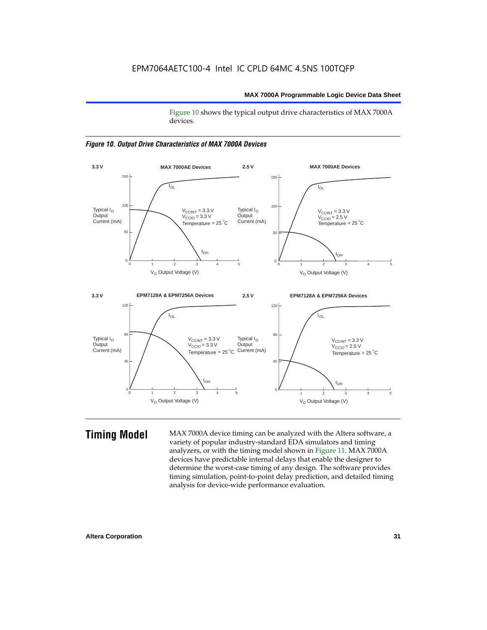Figure 10 shows the typical output drive characteristics of MAX 7000A devices.





**Timing Model** MAX 7000A device timing can be analyzed with the Altera software, a variety of popular industry-standard EDA simulators and timing analyzers, or with the timing model shown in Figure 11. MAX 7000A devices have predictable internal delays that enable the designer to determine the worst-case timing of any design. The software provides timing simulation, point-to-point delay prediction, and detailed timing analysis for device-wide performance evaluation.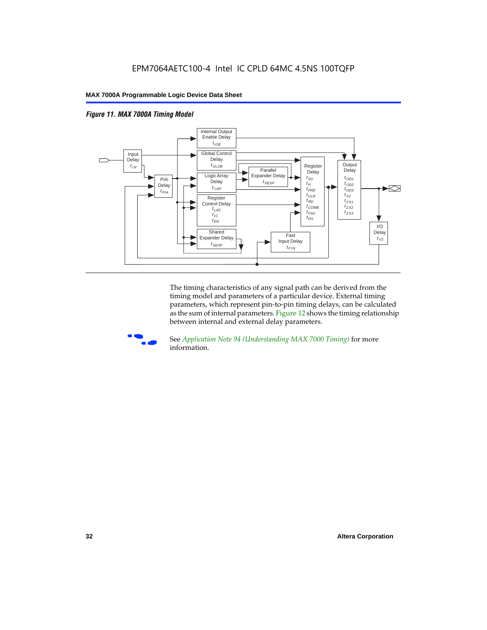



The timing characteristics of any signal path can be derived from the timing model and parameters of a particular device. External timing parameters, which represent pin-to-pin timing delays, can be calculated as the sum of internal parameters. Figure 12 shows the timing relationship between internal and external delay parameters.



f See *Application Note 94 (Understanding MAX 7000 Timing)* for more information.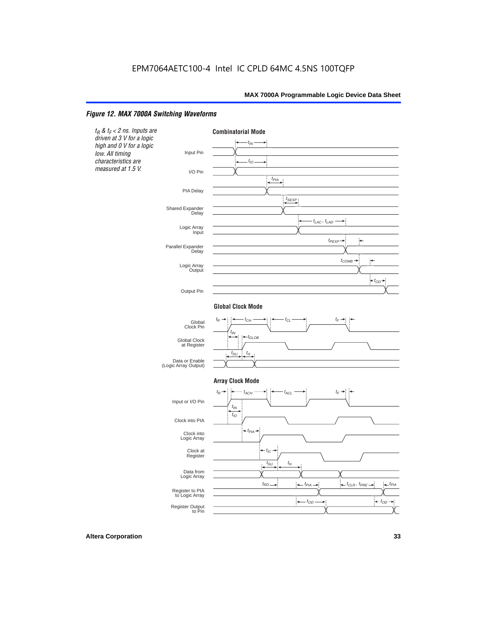#### *Figure 12. MAX 7000A Switching Waveforms*

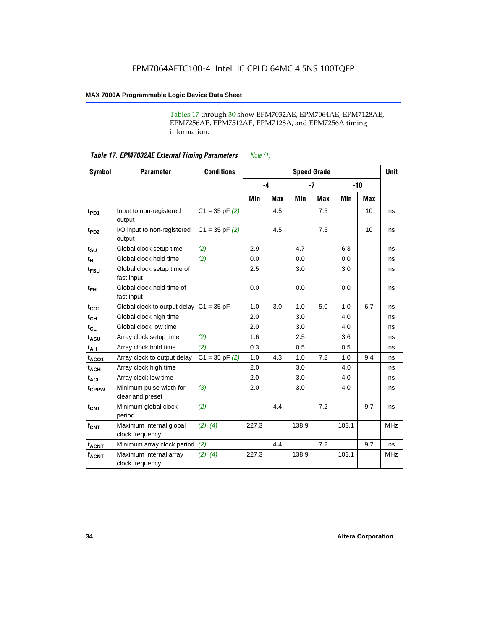Tables 17 through 30 show EPM7032AE, EPM7064AE, EPM7128AE, EPM7256AE, EPM7512AE, EPM7128A, and EPM7256A timing information.

|                  | <b>Table 17. EPM7032AE External Timing Parameters</b><br>Note $(1)$ |                   |       |            |                    |            |       |       |             |  |
|------------------|---------------------------------------------------------------------|-------------------|-------|------------|--------------------|------------|-------|-------|-------------|--|
| Symbol           | <b>Parameter</b>                                                    | <b>Conditions</b> |       |            | <b>Speed Grade</b> |            |       |       | <b>Unit</b> |  |
|                  |                                                                     |                   |       | $-4$       |                    | $-7$       |       | $-10$ |             |  |
|                  |                                                                     |                   | Min   | <b>Max</b> | Min                | <b>Max</b> | Min   | Max   |             |  |
| t <sub>PD1</sub> | Input to non-registered<br>output                                   | $C1 = 35 pF(2)$   |       | 4.5        |                    | 7.5        |       | 10    | ns          |  |
| t <sub>PD2</sub> | I/O input to non-registered<br>output                               | $C1 = 35 pF(2)$   |       | 4.5        |                    | 7.5        |       | 10    | ns          |  |
| $t_{\text{SU}}$  | Global clock setup time                                             | (2)               | 2.9   |            | 4.7                |            | 6.3   |       | ns          |  |
| $t_H$            | Global clock hold time                                              | (2)               | 0.0   |            | 0.0                |            | 0.0   |       | ns          |  |
| t <sub>FSU</sub> | Global clock setup time of<br>fast input                            |                   | 2.5   |            | 3.0                |            | 3.0   |       | ns          |  |
| $t_{FH}$         | Global clock hold time of<br>fast input                             |                   | 0.0   |            | 0.0                |            | 0.0   |       | ns          |  |
| $t_{CO1}$        | Global clock to output delay                                        | $C1 = 35 pF$      | 1.0   | 3.0        | 1.0                | 5.0        | 1.0   | 6.7   | ns          |  |
| $t_{CH}$         | Global clock high time                                              |                   | 2.0   |            | 3.0                |            | 4.0   |       | ns          |  |
| $t_{CL}$         | Global clock low time                                               |                   | 2.0   |            | 3.0                |            | 4.0   |       | ns          |  |
| $t_{ASU}$        | Array clock setup time                                              | (2)               | 1.6   |            | 2.5                |            | 3.6   |       | ns          |  |
| t <sub>AH</sub>  | Array clock hold time                                               | (2)               | 0.3   |            | 0.5                |            | 0.5   |       | ns          |  |
| $t_{ACO1}$       | Array clock to output delay                                         | $C1 = 35 pF(2)$   | 1.0   | 4.3        | 1.0                | 7.2        | 1.0   | 9.4   | ns          |  |
| $t_{ACH}$        | Array clock high time                                               |                   | 2.0   |            | 3.0                |            | 4.0   |       | ns          |  |
| $t_{ACL}$        | Array clock low time                                                |                   | 2.0   |            | 3.0                |            | 4.0   |       | ns          |  |
| tcppw            | Minimum pulse width for<br>clear and preset                         | (3)               | 2.0   |            | 3.0                |            | 4.0   |       | ns          |  |
| $t_{\text{CNT}}$ | Minimum global clock<br>period                                      | (2)               |       | 4.4        |                    | 7.2        |       | 9.7   | ns          |  |
| $f_{CNT}$        | Maximum internal global<br>clock frequency                          | (2), (4)          | 227.3 |            | 138.9              |            | 103.1 |       | <b>MHz</b>  |  |
| $t_{ACNT}$       | Minimum array clock period                                          | (2)               |       | 4.4        |                    | 7.2        |       | 9.7   | ns          |  |
| <b>fACNT</b>     | Maximum internal array<br>clock frequency                           | (2), (4)          | 227.3 |            | 138.9              |            | 103.1 |       | <b>MHz</b>  |  |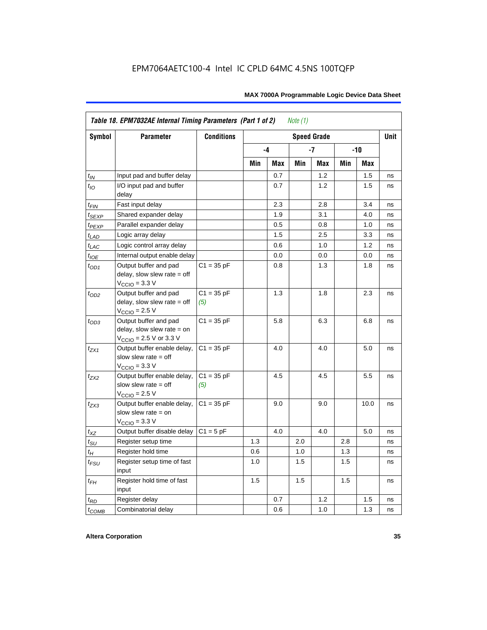|                   | Table 18. EPM7032AE Internal Timing Parameters (Part 1 of 2)<br>Note $(1)$                                   |                     |     |      |     |                    |       |            |      |  |
|-------------------|--------------------------------------------------------------------------------------------------------------|---------------------|-----|------|-----|--------------------|-------|------------|------|--|
| Symbol            | <b>Parameter</b>                                                                                             | <b>Conditions</b>   |     |      |     | <b>Speed Grade</b> |       |            | Unit |  |
|                   |                                                                                                              |                     |     | $-4$ |     | -7                 | $-10$ |            |      |  |
|                   |                                                                                                              |                     | Min | Max  | Min | Max                | Min   | <b>Max</b> |      |  |
| $t_{IN}$          | Input pad and buffer delay                                                                                   |                     |     | 0.7  |     | 1.2                |       | 1.5        | ns   |  |
| $t_{IO}$          | I/O input pad and buffer<br>delay                                                                            |                     |     | 0.7  |     | 1.2                |       | 1.5        | ns   |  |
| $t_{\sf FIN}$     | Fast input delay                                                                                             |                     |     | 2.3  |     | 2.8                |       | 3.4        | ns   |  |
| t <sub>SEXP</sub> | Shared expander delay                                                                                        |                     |     | 1.9  |     | 3.1                |       | 4.0        | ns   |  |
| t <sub>PEXP</sub> | Parallel expander delay                                                                                      |                     |     | 0.5  |     | 0.8                |       | 1.0        | ns   |  |
| $t_{LAD}$         | Logic array delay                                                                                            |                     |     | 1.5  |     | 2.5                |       | 3.3        | ns   |  |
| $t_{LAC}$         | Logic control array delay                                                                                    |                     |     | 0.6  |     | 1.0                |       | 1.2        | ns   |  |
| $t_{IOE}$         | Internal output enable delay                                                                                 |                     |     | 0.0  |     | 0.0                |       | 0.0        | ns   |  |
| $t_{OD1}$         | Output buffer and pad<br>delay, slow slew rate $=$ off<br>$V_{\text{CCIO}} = 3.3 \text{ V}$                  | $C1 = 35 pF$        |     | 0.8  |     | 1.3                |       | 1.8        | ns   |  |
| $t_{OD2}$         | Output buffer and pad<br>delay, slow slew rate $=$ off<br>$VCCIO = 2.5 V$                                    | $C1 = 35 pF$<br>(5) |     | 1.3  |     | 1.8                |       | 2.3        | ns   |  |
| $t_{OD3}$         | Output buffer and pad<br>delay, slow slew rate $=$ on<br>$V_{\text{CCIO}} = 2.5 \text{ V or } 3.3 \text{ V}$ | $C1 = 35 pF$        |     | 5.8  |     | 6.3                |       | 6.8        | ns   |  |
| $t_{ZX1}$         | Output buffer enable delay,<br>slow slew rate $=$ off<br>$V_{\text{CCIO}} = 3.3 \text{ V}$                   | $C1 = 35 pF$        |     | 4.0  |     | 4.0                |       | 5.0        | ns   |  |
| $t_{ZX2}$         | Output buffer enable delay,<br>slow slew rate $=$ off<br>$V_{\text{CCIO}}$ = 2.5 V                           | $C1 = 35 pF$<br>(5) |     | 4.5  |     | 4.5                |       | 5.5        | ns   |  |
| $t_{ZX3}$         | Output buffer enable delay,<br>slow slew rate $=$ on<br>$V_{\text{CCIO}} = 3.3 \text{ V}$                    | $C1 = 35 pF$        |     | 9.0  |     | 9.0                |       | 10.0       | ns   |  |
| $t_{XZ}$          | Output buffer disable delay                                                                                  | $C1 = 5pF$          |     | 4.0  |     | 4.0                |       | 5.0        | ns   |  |
| $t_{\text{SU}}$   | Register setup time                                                                                          |                     | 1.3 |      | 2.0 |                    | 2.8   |            | ns   |  |
| $t_H$             | Register hold time                                                                                           |                     | 0.6 |      | 1.0 |                    | 1.3   |            | ns   |  |
| $t_{FSU}$         | Register setup time of fast<br>input                                                                         |                     | 1.0 |      | 1.5 |                    | 1.5   |            | ns   |  |
| $t_{FH}$          | Register hold time of fast<br>input                                                                          |                     | 1.5 |      | 1.5 |                    | 1.5   |            | ns   |  |
| $t_{RD}$          | Register delay                                                                                               |                     |     | 0.7  |     | 1.2                |       | 1.5        | ns   |  |
| $t_{COMB}$        | Combinatorial delay                                                                                          |                     |     | 0.6  |     | 1.0                |       | 1.3        | ns   |  |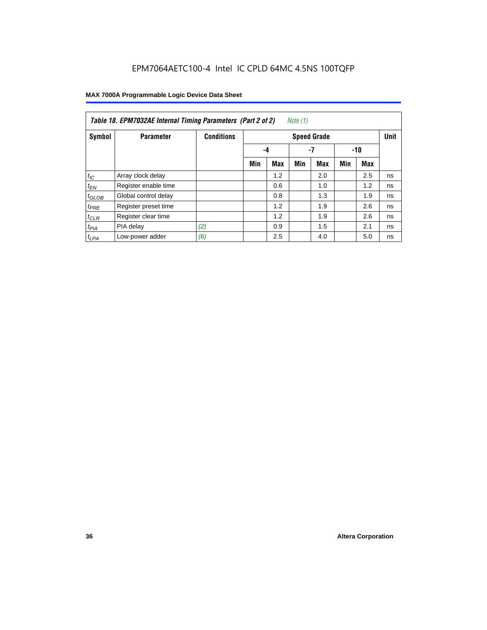| Table 18. EPM7032AE Internal Timing Parameters (Part 2 of 2)<br>Note (1) |                      |                   |                    |     |     |     |     |     |             |
|--------------------------------------------------------------------------|----------------------|-------------------|--------------------|-----|-----|-----|-----|-----|-------------|
| Symbol                                                                   | <b>Parameter</b>     | <b>Conditions</b> | <b>Speed Grade</b> |     |     |     |     |     | <b>Unit</b> |
|                                                                          |                      |                   |                    | -4  |     | -7  |     | -10 |             |
|                                                                          |                      |                   | Min                | Max | Min | Max | Min | Max |             |
| $t_{IC}$                                                                 | Array clock delay    |                   |                    | 1.2 |     | 2.0 |     | 2.5 | ns          |
| $t_{EN}$                                                                 | Register enable time |                   |                    | 0.6 |     | 1.0 |     | 1.2 | ns          |
| $t_{GLOB}$                                                               | Global control delay |                   |                    | 0.8 |     | 1.3 |     | 1.9 | ns          |
| $t_{PRE}$                                                                | Register preset time |                   |                    | 1.2 |     | 1.9 |     | 2.6 | ns          |
| $t_{CLR}$                                                                | Register clear time  |                   |                    | 1.2 |     | 1.9 |     | 2.6 | ns          |
| t <sub>PIA</sub>                                                         | PIA delay            | (2)               |                    | 0.9 |     | 1.5 |     | 2.1 | ns          |
| $t_{LPA}$                                                                | Low-power adder      | (6)               |                    | 2.5 |     | 4.0 |     | 5.0 | ns          |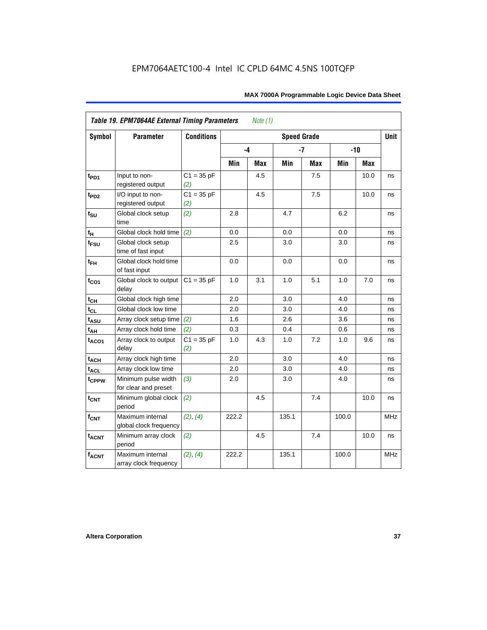| Symbol            | <b>Parameter</b>                            | <b>Conditions</b>   |       |     | <b>Speed Grade</b> |            |       |            | <b>Unit</b> |
|-------------------|---------------------------------------------|---------------------|-------|-----|--------------------|------------|-------|------------|-------------|
|                   |                                             |                     | -4    |     |                    | $-7$       |       | $-10$      |             |
|                   |                                             |                     | Min   | Max | Min                | <b>Max</b> | Min   | <b>Max</b> |             |
| $t_{PD1}$         | Input to non-<br>registered output          | $C1 = 35 pF$<br>(2) |       | 4.5 |                    | 7.5        |       | 10.0       | ns          |
| t <sub>PD2</sub>  | I/O input to non-<br>registered output      | $C1 = 35 pF$<br>(2) |       | 4.5 |                    | 7.5        |       | 10.0       | ns          |
| $t_{\text{SU}}$   | Global clock setup<br>time                  | (2)                 | 2.8   |     | 4.7                |            | 6.2   |            | ns          |
| tμ                | Global clock hold time                      | (2)                 | 0.0   |     | 0.0                |            | 0.0   |            | ns          |
| $t_{FSU}$         | Global clock setup<br>time of fast input    |                     | 2.5   |     | 3.0                |            | 3.0   |            | ns          |
| $t_{FH}$          | Global clock hold time<br>of fast input     |                     | 0.0   |     | 0.0                |            | 0.0   |            | ns          |
| $t_{CO1}$         | Global clock to output<br>delay             | $C1 = 35 pF$        | 1.0   | 3.1 | 1.0                | 5.1        | 1.0   | 7.0        | ns          |
| $t_{CH}$          | Global clock high time                      |                     | 2.0   |     | 3.0                |            | 4.0   |            | ns          |
| $t_{CL}$          | Global clock low time                       |                     | 2.0   |     | 3.0                |            | 4.0   |            | ns          |
| t <sub>ASU</sub>  | Array clock setup time                      | (2)                 | 1.6   |     | 2.6                |            | 3.6   |            | ns          |
| $t_{AH}$          | Array clock hold time                       | (2)                 | 0.3   |     | 0.4                |            | 0.6   |            | ns          |
| t <sub>ACO1</sub> | Array clock to output<br>delay              | $C1 = 35 pF$<br>(2) | 1.0   | 4.3 | 1.0                | 7.2        | 1.0   | 9.6        | ns          |
| $t_{ACH}$         | Array clock high time                       |                     | 2.0   |     | 3.0                |            | 4.0   |            | ns          |
| t <sub>ACL</sub>  | Array clock low time                        |                     | 2.0   |     | 3.0                |            | 4.0   |            | ns          |
| t <sub>CPPW</sub> | Minimum pulse width<br>for clear and preset | (3)                 | 2.0   |     | 3.0                |            | 4.0   |            | ns          |
| $t_{\text{CNT}}$  | Minimum global clock<br>period              | (2)                 |       | 4.5 |                    | 7.4        |       | 10.0       | ns          |
| $f_{CNT}$         | Maximum internal<br>global clock frequency  | (2), (4)            | 222.2 |     | 135.1              |            | 100.0 |            | <b>MHz</b>  |
| $t_{ACNT}$        | Minimum array clock<br>period               | (2)                 |       | 4.5 |                    | 7.4        |       | 10.0       | ns          |
| <b>fACNT</b>      | Maximum internal<br>array clock frequency   | (2), (4)            | 222.2 |     | 135.1              |            | 100.0 |            | <b>MHz</b>  |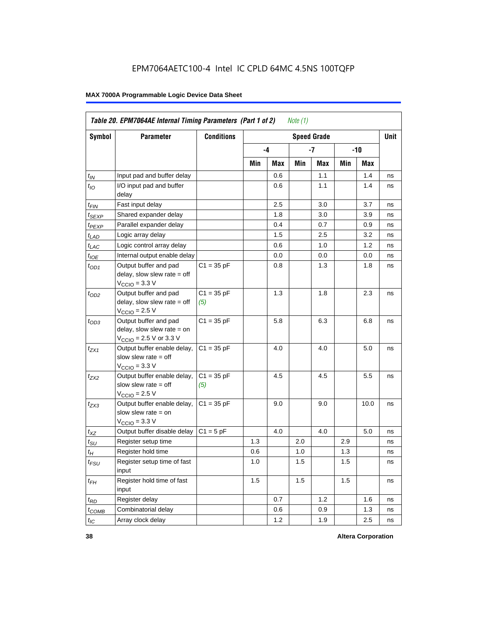|                    | Table 20. EPM7064AE Internal Timing Parameters (Part 1 of 2)<br>Note (1)                                     |                     |     |     |     |                    |     |      |      |  |
|--------------------|--------------------------------------------------------------------------------------------------------------|---------------------|-----|-----|-----|--------------------|-----|------|------|--|
| Symbol             | Parameter                                                                                                    | <b>Conditions</b>   |     |     |     | <b>Speed Grade</b> |     |      | Unit |  |
|                    |                                                                                                              |                     |     | -4  |     | -7                 | -10 |      |      |  |
|                    |                                                                                                              |                     | Min | Max | Min | Max                | Min | Max  |      |  |
| $t_{IN}$           | Input pad and buffer delay                                                                                   |                     |     | 0.6 |     | 1.1                |     | 1.4  | ns   |  |
| $t_{IO}$           | I/O input pad and buffer<br>delay                                                                            |                     |     | 0.6 |     | 1.1                |     | 1.4  | ns   |  |
| $t_{\mathsf{FIN}}$ | Fast input delay                                                                                             |                     |     | 2.5 |     | 3.0                |     | 3.7  | ns   |  |
| $t_{SEXP}$         | Shared expander delay                                                                                        |                     |     | 1.8 |     | 3.0                |     | 3.9  | ns   |  |
| t <sub>PEXP</sub>  | Parallel expander delay                                                                                      |                     |     | 0.4 |     | 0.7                |     | 0.9  | ns   |  |
| $t_{LAD}$          | Logic array delay                                                                                            |                     |     | 1.5 |     | 2.5                |     | 3.2  | ns   |  |
| $t_{LAC}$          | Logic control array delay                                                                                    |                     |     | 0.6 |     | 1.0                |     | 1.2  | ns   |  |
| $t_{IOE}$          | Internal output enable delay                                                                                 |                     |     | 0.0 |     | 0.0                |     | 0.0  | ns   |  |
| $t_{OD1}$          | Output buffer and pad<br>delay, slow slew rate = off<br>$VCCIO = 3.3 V$                                      | $C1 = 35 pF$        |     | 0.8 |     | 1.3                |     | 1.8  | ns   |  |
| $t_{OD2}$          | Output buffer and pad<br>delay, slow slew rate $=$ off<br>$V_{\rm CClO}$ = 2.5 V                             | $C1 = 35 pF$<br>(5) |     | 1.3 |     | 1.8                |     | 2.3  | ns   |  |
| $t_{OD3}$          | Output buffer and pad<br>delay, slow slew rate $=$ on<br>$V_{\text{CCIO}} = 2.5 \text{ V or } 3.3 \text{ V}$ | $C1 = 35 pF$        |     | 5.8 |     | 6.3                |     | 6.8  | ns   |  |
| $t_{ZX1}$          | Output buffer enable delay,<br>slow slew rate = off<br>$V_{\rm CClO}$ = 3.3 V                                | $C1 = 35 pF$        |     | 4.0 |     | 4.0                |     | 5.0  | ns   |  |
| t <sub>ZX2</sub>   | Output buffer enable delay,<br>slow slew rate $=$ off<br>$VCCIO = 2.5 V$                                     | $C1 = 35 pF$<br>(5) |     | 4.5 |     | 4.5                |     | 5.5  | ns   |  |
| $t_{ZX3}$          | Output buffer enable delay,<br>slow slew rate $=$ on<br>$V_{\text{CCIO}} = 3.3 \text{ V}$                    | $C1 = 35 pF$        |     | 9.0 |     | 9.0                |     | 10.0 | ns   |  |
| $t_{XZ}$           | Output buffer disable delay                                                                                  | $C1 = 5pF$          |     | 4.0 |     | 4.0                |     | 5.0  | ns   |  |
| $t_{\text{SU}}$    | Register setup time                                                                                          |                     | 1.3 |     | 2.0 |                    | 2.9 |      | ns   |  |
| $t_H$              | Register hold time                                                                                           |                     | 0.6 |     | 1.0 |                    | 1.3 |      | ns   |  |
| $t_{\mathit{FSU}}$ | Register setup time of fast<br>input                                                                         |                     | 1.0 |     | 1.5 |                    | 1.5 |      | ns   |  |
| $t_{FH}$           | Register hold time of fast<br>input                                                                          |                     | 1.5 |     | 1.5 |                    | 1.5 |      | ns   |  |
| $t_{RD}$           | Register delay                                                                                               |                     |     | 0.7 |     | 1.2                |     | 1.6  | ns   |  |
| $t_{COMB}$         | Combinatorial delay                                                                                          |                     |     | 0.6 |     | 0.9                |     | 1.3  | ns   |  |
| $t_{IC}$           | Array clock delay                                                                                            |                     |     | 1.2 |     | 1.9                |     | 2.5  | ns   |  |

**38 Altera Corporation**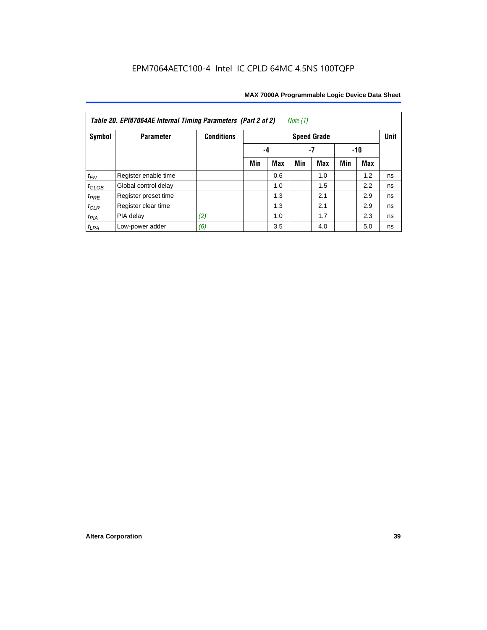| Note $(1)$<br>Table 20. EPM7064AE Internal Timing Parameters (Part 2 of 2) |                      |                   |     |                 |     |                    |     |     |             |  |  |  |
|----------------------------------------------------------------------------|----------------------|-------------------|-----|-----------------|-----|--------------------|-----|-----|-------------|--|--|--|
| Symbol                                                                     | <b>Parameter</b>     | <b>Conditions</b> |     |                 |     | <b>Speed Grade</b> |     |     | <b>Unit</b> |  |  |  |
|                                                                            |                      |                   |     | -7<br>-10<br>-4 |     |                    |     |     |             |  |  |  |
|                                                                            |                      |                   | Min | Max             | Min | <b>Max</b>         | Min | Max |             |  |  |  |
| $t_{EN}$                                                                   | Register enable time |                   |     | 0.6             |     | 1.0                |     | 1.2 | ns          |  |  |  |
| $t_{GLOB}$                                                                 | Global control delay |                   |     | 1.0             |     | 1.5                |     | 2.2 | ns          |  |  |  |
| $t_{PRE}$                                                                  | Register preset time |                   |     | 1.3             |     | 2.1                |     | 2.9 | ns          |  |  |  |
| $t_{CLR}$                                                                  | Register clear time  |                   |     | 1.3             |     | 2.1                |     | 2.9 | ns          |  |  |  |
| $t_{PIA}$                                                                  | PIA delay            | (2)               |     | 1.0             |     | 1.7                |     | 2.3 | ns          |  |  |  |
| $t_{LPA}$                                                                  | Low-power adder      | (6)               |     | 3.5             |     | 4.0                |     | 5.0 | ns          |  |  |  |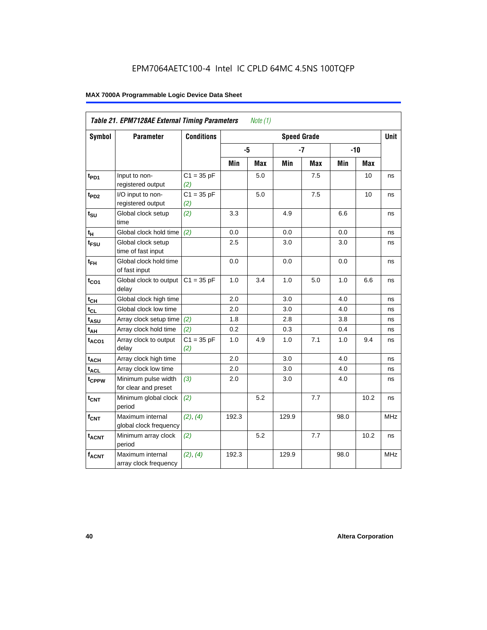|                   | <b>Table 21. EPM7128AE External Timing Parameters</b> |                     |       | Note $(1)$ |                    |            |      |            |            |
|-------------------|-------------------------------------------------------|---------------------|-------|------------|--------------------|------------|------|------------|------------|
| Symbol            | <b>Parameter</b>                                      | <b>Conditions</b>   |       |            | <b>Speed Grade</b> |            |      |            | Unit       |
|                   |                                                       |                     | -5    |            |                    | $-7$       |      | $-10$      |            |
|                   |                                                       |                     | Min   | <b>Max</b> | Min                | <b>Max</b> | Min  | <b>Max</b> |            |
| t <sub>PD1</sub>  | Input to non-<br>registered output                    | $C1 = 35 pF$<br>(2) |       | 5.0        |                    | 7.5        |      | 10         | ns         |
| t <sub>PD2</sub>  | I/O input to non-<br>registered output                | $C1 = 35 pF$<br>(2) |       | 5.0        |                    | 7.5        |      | 10         | ns         |
| $t_{\text{SU}}$   | Global clock setup<br>time                            | (2)                 | 3.3   |            | 4.9                |            | 6.6  |            | ns         |
| $t_H$             | Global clock hold time                                | (2)                 | 0.0   |            | 0.0                |            | 0.0  |            | ns         |
| t <sub>FSU</sub>  | Global clock setup<br>time of fast input              |                     | 2.5   |            | 3.0                |            | 3.0  |            | ns         |
| $t_{FH}$          | Global clock hold time<br>of fast input               |                     | 0.0   |            | 0.0                |            | 0.0  |            | ns         |
| $t_{CO1}$         | Global clock to output<br>delay                       | $C1 = 35 pF$        | 1.0   | 3.4        | $1.0$              | 5.0        | 1.0  | 6.6        | ns         |
| $t_{CH}$          | Global clock high time                                |                     | 2.0   |            | 3.0                |            | 4.0  |            | ns         |
| $t_{CL}$          | Global clock low time                                 |                     | 2.0   |            | 3.0                |            | 4.0  |            | ns         |
| $t_{ASU}$         | Array clock setup time                                | (2)                 | 1.8   |            | 2.8                |            | 3.8  |            | ns         |
| $t_{AH}$          | Array clock hold time                                 | (2)                 | 0.2   |            | 0.3                |            | 0.4  |            | ns         |
| $t_{ACO1}$        | Array clock to output<br>delay                        | $C1 = 35 pF$<br>(2) | 1.0   | 4.9        | 1.0                | 7.1        | 1.0  | 9.4        | ns         |
| $t_{ACH}$         | Array clock high time                                 |                     | 2.0   |            | 3.0                |            | 4.0  |            | ns         |
| t <sub>ACL</sub>  | Array clock low time                                  |                     | 2.0   |            | 3.0                |            | 4.0  |            | ns         |
| t <sub>CPPW</sub> | Minimum pulse width<br>for clear and preset           | (3)                 | 2.0   |            | 3.0                |            | 4.0  |            | ns         |
| $t_{\text{CNT}}$  | Minimum global clock<br>period                        | (2)                 |       | 5.2        |                    | 7.7        |      | 10.2       | ns         |
| $f_{CNT}$         | Maximum internal<br>global clock frequency            | (2), (4)            | 192.3 |            | 129.9              |            | 98.0 |            | <b>MHz</b> |
| $t_{ACNT}$        | Minimum array clock<br>period                         | (2)                 |       | 5.2        |                    | 7.7        |      | 10.2       | ns         |
| <b>fACNT</b>      | Maximum internal<br>array clock frequency             | (2), (4)            | 192.3 |            | 129.9              |            | 98.0 |            | <b>MHz</b> |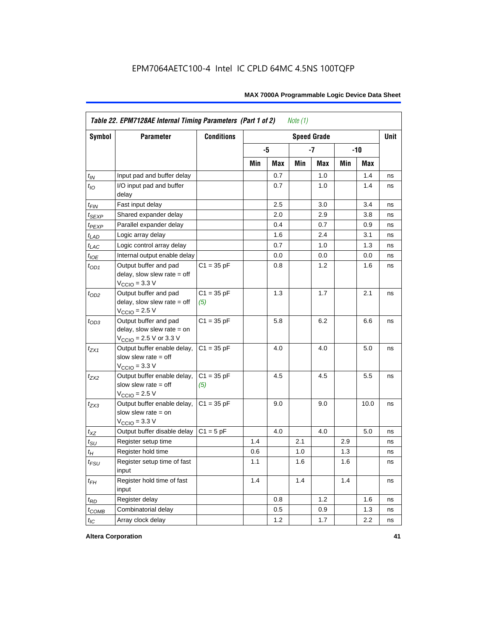|                    | Table 22. EPM7128AE Internal Timing Parameters (Part 1 of 2)                                                 |                     |     |      | Note $(1)$ |                    |     |            |             |
|--------------------|--------------------------------------------------------------------------------------------------------------|---------------------|-----|------|------------|--------------------|-----|------------|-------------|
| <b>Symbol</b>      | <b>Parameter</b>                                                                                             | <b>Conditions</b>   |     |      |            | <b>Speed Grade</b> |     |            | <b>Unit</b> |
|                    |                                                                                                              |                     |     | $-5$ |            | $-7$               |     | $-10$      |             |
|                    |                                                                                                              |                     | Min | Max  | Min        | Max                | Min | <b>Max</b> |             |
| $t_{IN}$           | Input pad and buffer delay                                                                                   |                     |     | 0.7  |            | 1.0                |     | 1.4        | ns          |
| $t_{IO}$           | I/O input pad and buffer<br>delay                                                                            |                     |     | 0.7  |            | 1.0                |     | 1.4        | ns          |
| $t_{FIN}$          | Fast input delay                                                                                             |                     |     | 2.5  |            | 3.0                |     | 3.4        | ns          |
| $t_{SEXP}$         | Shared expander delay                                                                                        |                     |     | 2.0  |            | 2.9                |     | 3.8        | ns          |
| t <sub>PEXP</sub>  | Parallel expander delay                                                                                      |                     |     | 0.4  |            | 0.7                |     | 0.9        | ns          |
| $t_{LAD}$          | Logic array delay                                                                                            |                     |     | 1.6  |            | 2.4                |     | 3.1        | ns          |
| $t_{LAC}$          | Logic control array delay                                                                                    |                     |     | 0.7  |            | 1.0                |     | 1.3        | ns          |
| $t_{IOE}$          | Internal output enable delay                                                                                 |                     |     | 0.0  |            | 0.0                |     | 0.0        | ns          |
| $t_{OD1}$          | Output buffer and pad<br>delay, slow slew rate = off<br>$VCCIO$ = 3.3 V                                      | $C1 = 35 pF$        |     | 0.8  |            | 1.2                |     | 1.6        | ns          |
| $t_{OD2}$          | Output buffer and pad<br>$delay$ , slow slew rate = off<br>$VCCIO = 2.5 V$                                   | $C1 = 35 pF$<br>(5) |     | 1.3  |            | 1.7                |     | 2.1        | ns          |
| $t_{OD3}$          | Output buffer and pad<br>delay, slow slew rate $=$ on<br>$V_{\text{CCIO}} = 2.5 \text{ V or } 3.3 \text{ V}$ | $C1 = 35 pF$        |     | 5.8  |            | 6.2                |     | 6.6        | ns          |
| $t_{ZX1}$          | Output buffer enable delay,<br>slow slew rate = off<br>$VCCIO = 3.3 V$                                       | $C1 = 35 pF$        |     | 4.0  |            | 4.0                |     | 5.0        | ns          |
| $t_{ZX2}$          | Output buffer enable delay,<br>slow slew rate $=$ off<br>$VCCIO = 2.5 V$                                     | $C1 = 35 pF$<br>(5) |     | 4.5  |            | 4.5                |     | 5.5        | ns          |
| $t_{ZX3}$          | Output buffer enable delay,<br>slow slew rate = on<br>$V_{\text{CCIO}} = 3.3 \text{ V}$                      | $C1 = 35 pF$        |     | 9.0  |            | 9.0                |     | 10.0       | ns          |
| $t_{XZ}$           | Output buffer disable delay                                                                                  | $C1 = 5pF$          |     | 4.0  |            | 4.0                |     | 5.0        | ns          |
| $t_{\text{SU}}$    | Register setup time                                                                                          |                     | 1.4 |      | 2.1        |                    | 2.9 |            | ns          |
| $t_{\mathcal{H}}$  | Register hold time                                                                                           |                     | 0.6 |      | 1.0        |                    | 1.3 |            | ns          |
| $t_{\mathit{FSU}}$ | Register setup time of fast<br>input                                                                         |                     | 1.1 |      | 1.6        |                    | 1.6 |            | ns          |
| $t_{FH}$           | Register hold time of fast<br>input                                                                          |                     | 1.4 |      | 1.4        |                    | 1.4 |            | ns          |
| $t_{RD}$           | Register delay                                                                                               |                     |     | 0.8  |            | 1.2                |     | 1.6        | ns          |
| $t_{COMB}$         | Combinatorial delay                                                                                          |                     |     | 0.5  |            | 0.9                |     | 1.3        | ns          |
| $t_{IC}$           | Array clock delay                                                                                            |                     |     | 1.2  |            | 1.7                |     | 2.2        | ns          |

**Altera Corporation 41**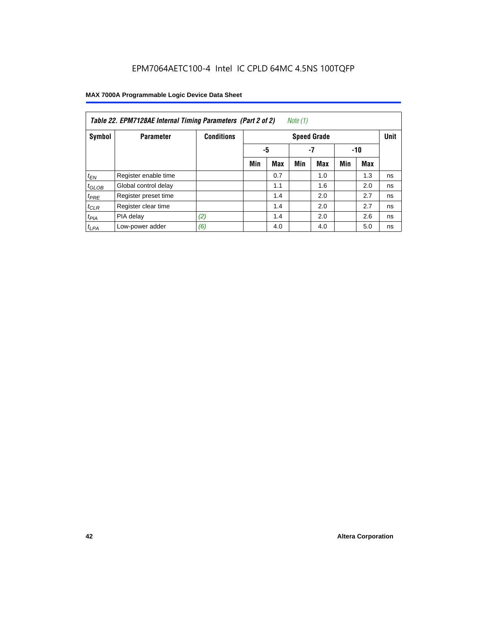| Note (1)<br>Table 22. EPM7128AE Internal Timing Parameters (Part 2 of 2) |                      |                   |     |                   |     |                    |     |            |             |  |  |
|--------------------------------------------------------------------------|----------------------|-------------------|-----|-------------------|-----|--------------------|-----|------------|-------------|--|--|
| Symbol                                                                   | <b>Parameter</b>     | <b>Conditions</b> |     |                   |     | <b>Speed Grade</b> |     |            | <b>Unit</b> |  |  |
|                                                                          |                      |                   |     | -5<br>$-7$<br>-10 |     |                    |     |            |             |  |  |
|                                                                          |                      |                   | Min | <b>Max</b>        | Min | <b>Max</b>         | Min | <b>Max</b> |             |  |  |
| $t_{EN}$                                                                 | Register enable time |                   |     | 0.7               |     | 1.0                |     | 1.3        | ns          |  |  |
| $t_{GLOB}$                                                               | Global control delay |                   |     | 1.1               |     | 1.6                |     | 2.0        | ns          |  |  |
| $t_{PRE}$                                                                | Register preset time |                   |     | 1.4               |     | 2.0                |     | 2.7        | ns          |  |  |
| $t_{CLR}$                                                                | Register clear time  |                   |     | 1.4               |     | 2.0                |     | 2.7        | ns          |  |  |
| t <sub>PIA</sub>                                                         | PIA delay            | (2)               |     | 1.4               |     | 2.0                |     | 2.6        | ns          |  |  |
| $t_{LPA}$                                                                | Low-power adder      | (6)               |     | 4.0               |     | 4.0                |     | 5.0        | ns          |  |  |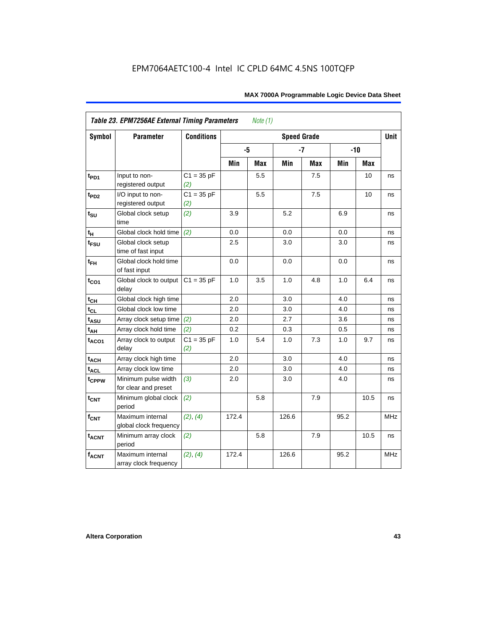| Symbol                      | <b>Parameter</b>                            | <b>Conditions</b>   | <b>Speed Grade</b> |     |       |            |      |       |            |  |  |
|-----------------------------|---------------------------------------------|---------------------|--------------------|-----|-------|------------|------|-------|------------|--|--|
|                             |                                             |                     | -5                 |     |       | $-7$       |      | $-10$ |            |  |  |
|                             |                                             |                     | Min                | Max | Min   | <b>Max</b> | Min  | Max   |            |  |  |
| $t_{PD1}$                   | Input to non-<br>registered output          | $C1 = 35 pF$<br>(2) |                    | 5.5 |       | 7.5        |      | 10    | ns         |  |  |
| $t_{PD2}$                   | I/O input to non-<br>registered output      | $C1 = 35 pF$<br>(2) |                    | 5.5 |       | 7.5        |      | 10    | ns         |  |  |
| $t_{\scriptstyle\text{SU}}$ | Global clock setup<br>time                  | (2)                 | 3.9                |     | 5.2   |            | 6.9  |       | ns         |  |  |
| $t_H$                       | Global clock hold time                      | (2)                 | 0.0                |     | 0.0   |            | 0.0  |       | ns         |  |  |
| t <sub>FSU</sub>            | Global clock setup<br>time of fast input    |                     | 2.5                |     | 3.0   |            | 3.0  |       | ns         |  |  |
| $t_{FH}$                    | Global clock hold time<br>of fast input     |                     | 0.0                |     | 0.0   |            | 0.0  |       | ns         |  |  |
| $t_{CO1}$                   | Global clock to output<br>delay             | $C1 = 35 pF$        | 1.0                | 3.5 | 1.0   | 4.8        | 1.0  | 6.4   | ns         |  |  |
| $t_{CH}$                    | Global clock high time                      |                     | 2.0                |     | 3.0   |            | 4.0  |       | ns         |  |  |
| $t_{CL}$                    | Global clock low time                       |                     | 2.0                |     | 3.0   |            | 4.0  |       | ns         |  |  |
| t <sub>ASU</sub>            | Array clock setup time                      | (2)                 | 2.0                |     | 2.7   |            | 3.6  |       | ns         |  |  |
| $t_{AH}$                    | Array clock hold time                       | (2)                 | 0.2                |     | 0.3   |            | 0.5  |       | ns         |  |  |
| t <sub>ACO1</sub>           | Array clock to output<br>delay              | $C1 = 35 pF$<br>(2) | 1.0                | 5.4 | 1.0   | 7.3        | 1.0  | 9.7   | ns         |  |  |
| $t_{ACH}$                   | Array clock high time                       |                     | 2.0                |     | 3.0   |            | 4.0  |       | ns         |  |  |
| t <sub>ACL</sub>            | Array clock low time                        |                     | 2.0                |     | 3.0   |            | 4.0  |       | ns         |  |  |
| t <sub>CPPW</sub>           | Minimum pulse width<br>for clear and preset | (3)                 | 2.0                |     | 3.0   |            | 4.0  |       | ns         |  |  |
| $t_{\text{CNT}}$            | Minimum global clock<br>period              | (2)                 |                    | 5.8 |       | 7.9        |      | 10.5  | ns         |  |  |
| $f_{CNT}$                   | Maximum internal<br>global clock frequency  | (2), (4)            | 172.4              |     | 126.6 |            | 95.2 |       | <b>MHz</b> |  |  |
| $t_{ACNT}$                  | Minimum array clock<br>period               | (2)                 |                    | 5.8 |       | 7.9        |      | 10.5  | ns         |  |  |
| <b>fACNT</b>                | Maximum internal<br>array clock frequency   | (2), (4)            | 172.4              |     | 126.6 |            | 95.2 |       | <b>MHz</b> |  |  |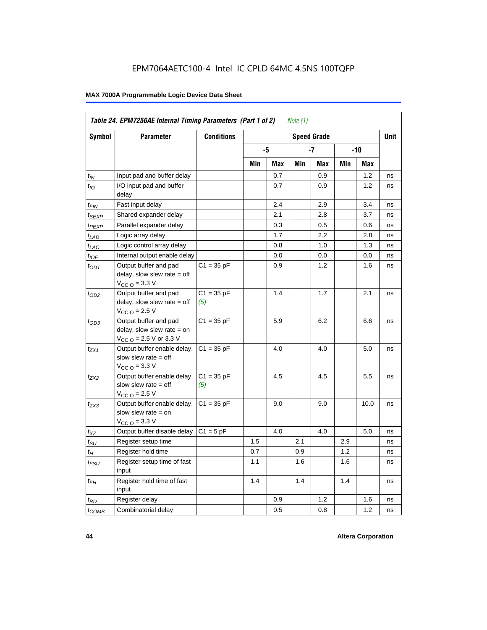| Symbol                      | <b>Parameter</b>                                                                                             | <b>Conditions</b>   |     |     |     | <b>Speed Grade</b> |     |      | <b>Unit</b> |
|-----------------------------|--------------------------------------------------------------------------------------------------------------|---------------------|-----|-----|-----|--------------------|-----|------|-------------|
|                             |                                                                                                              |                     |     | -5  |     | -7                 |     | -10  |             |
|                             |                                                                                                              |                     | Min | Max | Min | Max                | Min | Max  |             |
| $t_{IN}$                    | Input pad and buffer delay                                                                                   |                     |     | 0.7 |     | 0.9                |     | 1.2  | ns          |
| $t_{IO}$                    | I/O input pad and buffer<br>delay                                                                            |                     |     | 0.7 |     | 0.9                |     | 1.2  | ns          |
| t <sub>FIN</sub>            | Fast input delay                                                                                             |                     |     | 2.4 |     | 2.9                |     | 3.4  | ns          |
| $t_{SEXP}$                  | Shared expander delay                                                                                        |                     |     | 2.1 |     | 2.8                |     | 3.7  | ns          |
| t <sub>PEXP</sub>           | Parallel expander delay                                                                                      |                     |     | 0.3 |     | 0.5                |     | 0.6  | ns          |
| $t_{LAD}$                   | Logic array delay                                                                                            |                     |     | 1.7 |     | 2.2                |     | 2.8  | ns          |
| $t_{LAC}$                   | Logic control array delay                                                                                    |                     |     | 0.8 |     | 1.0                |     | 1.3  | ns          |
| $t_{IOE}$                   | Internal output enable delay                                                                                 |                     |     | 0.0 |     | 0.0                |     | 0.0  | ns          |
| $t_{OD1}$                   | Output buffer and pad<br>delay, slow slew rate $=$ off<br>$V_{\text{CCIO}} = 3.3 \text{ V}$                  | $C1 = 35 pF$        |     | 0.9 |     | 1.2                |     | 1.6  | ns          |
| $t_{OD2}$                   | Output buffer and pad<br>delay, slow slew rate $=$ off<br>$V_{\text{CCIO}}$ = 2.5 V                          | $C1 = 35 pF$<br>(5) |     | 1.4 |     | 1.7                |     | 2.1  | ns          |
| $t_{OD3}$                   | Output buffer and pad<br>delay, slow slew rate $=$ on<br>$V_{\text{CCIO}} = 2.5 \text{ V or } 3.3 \text{ V}$ | $C1 = 35 pF$        |     | 5.9 |     | 6.2                |     | 6.6  | ns          |
| t <sub>ZX1</sub>            | Output buffer enable delay,<br>slow slew rate $=$ off<br>$V_{\text{CCIO}} = 3.3 \text{ V}$                   | $C1 = 35 pF$        |     | 4.0 |     | 4.0                |     | 5.0  | ns          |
| t <sub>ZX2</sub>            | Output buffer enable delay,<br>slow slew rate $=$ off<br>$V_{\text{CCIO}} = 2.5 V$                           | $C1 = 35 pF$<br>(5) |     | 4.5 |     | 4.5                |     | 5.5  | ns          |
| $t_{ZX3}$                   | Output buffer enable delay,<br>slow slew rate $=$ on<br>$VCCIO = 3.3 V$                                      | $C1 = 35 pF$        |     | 9.0 |     | 9.0                |     | 10.0 | ns          |
| $t_{XZ}$                    | Output buffer disable delay                                                                                  | $C1 = 5pF$          |     | 4.0 |     | 4.0                |     | 5.0  | ns          |
| $t_{\scriptstyle\text{SU}}$ | Register setup time                                                                                          |                     | 1.5 |     | 2.1 |                    | 2.9 |      | ns          |
| $t_H$                       | Register hold time                                                                                           |                     | 0.7 |     | 0.9 |                    | 1.2 |      | ns          |
| $t_{\it FSU}$               | Register setup time of fast<br>input                                                                         |                     | 1.1 |     | 1.6 |                    | 1.6 |      | ns          |
| $t_{FH}$                    | Register hold time of fast<br>input                                                                          |                     | 1.4 |     | 1.4 |                    | 1.4 |      | ns          |
| $t_{RD}$                    | Register delay                                                                                               |                     |     | 0.9 |     | 1.2                |     | 1.6  | ns          |
| $t_{\text{COMB}}$           | Combinatorial delay                                                                                          |                     |     | 0.5 |     | 0.8                |     | 1.2  | ns          |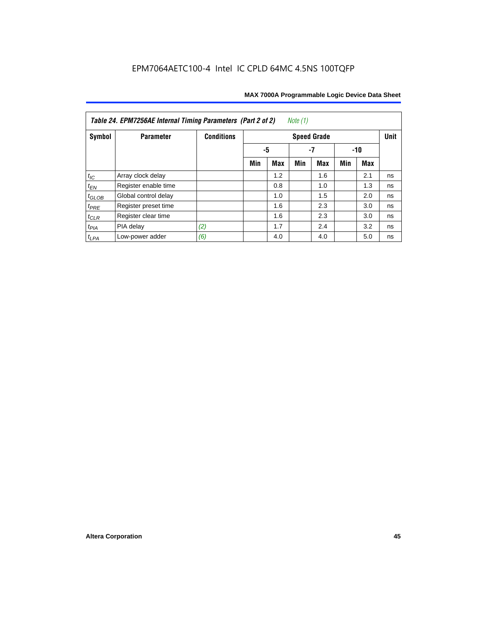| Table 24. EPM7256AE Internal Timing Parameters (Part 2 of 2)<br>Note (1) |                      |                   |          |     |     |                    |     |       |             |  |  |
|--------------------------------------------------------------------------|----------------------|-------------------|----------|-----|-----|--------------------|-----|-------|-------------|--|--|
| Symbol                                                                   | <b>Parameter</b>     | <b>Conditions</b> |          |     |     | <b>Speed Grade</b> |     |       | <b>Unit</b> |  |  |
|                                                                          |                      |                   | -5<br>-7 |     |     |                    |     | $-10$ |             |  |  |
|                                                                          |                      |                   | Min      | Max | Min | Max                | Min | Max   |             |  |  |
| $t_{\mathit{IC}}$                                                        | Array clock delay    |                   |          | 1.2 |     | 1.6                |     | 2.1   | ns          |  |  |
| $t_{EN}$                                                                 | Register enable time |                   |          | 0.8 |     | 1.0                |     | 1.3   | ns          |  |  |
| $t_{GLOB}$                                                               | Global control delay |                   |          | 1.0 |     | 1.5                |     | 2.0   | ns          |  |  |
| $t_{PRE}$                                                                | Register preset time |                   |          | 1.6 |     | 2.3                |     | 3.0   | ns          |  |  |
| $t_{CLR}$                                                                | Register clear time  |                   |          | 1.6 |     | 2.3                |     | 3.0   | ns          |  |  |
| $t_{PIA}$                                                                | PIA delay            | (2)               |          | 1.7 |     | 2.4                |     | 3.2   | ns          |  |  |
| $t_{LPA}$                                                                | Low-power adder      | (6)               |          | 4.0 |     | 4.0                |     | 5.0   | ns          |  |  |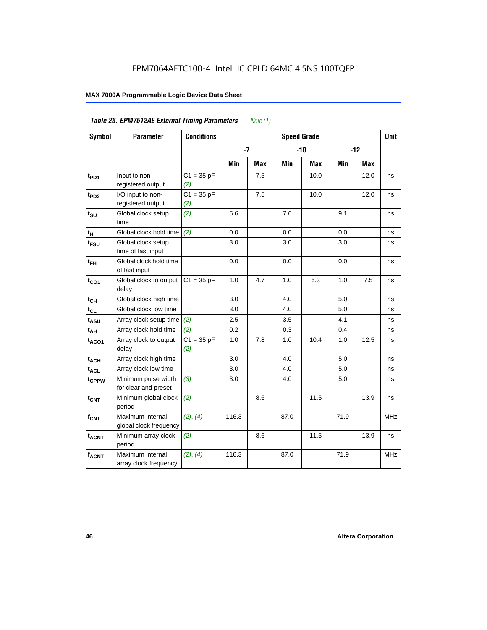|                             | Table 25. EPM7512AE External Timing Parameters |                     |       | Note $(1)$ |                    |       |      |            |             |
|-----------------------------|------------------------------------------------|---------------------|-------|------------|--------------------|-------|------|------------|-------------|
| Symbol                      | <b>Parameter</b>                               | <b>Conditions</b>   |       |            | <b>Speed Grade</b> |       |      |            | <b>Unit</b> |
|                             |                                                |                     | $-7$  |            |                    | $-10$ |      | $-12$      |             |
|                             |                                                |                     | Min   | <b>Max</b> | Min                | Max   | Min  | <b>Max</b> |             |
| $t_{PD1}$                   | Input to non-<br>registered output             | $C1 = 35 pF$<br>(2) |       | 7.5        |                    | 10.0  |      | 12.0       | ns          |
| $t_{PD2}$                   | I/O input to non-<br>registered output         | $C1 = 35 pF$<br>(2) |       | 7.5        |                    | 10.0  |      | 12.0       | ns          |
| $t_{\scriptstyle\text{SU}}$ | Global clock setup<br>time                     | (2)                 | 5.6   |            | 7.6                |       | 9.1  |            | ns          |
| $t_H$                       | Global clock hold time                         | (2)                 | 0.0   |            | 0.0                |       | 0.0  |            | ns          |
| t <sub>FSU</sub>            | Global clock setup<br>time of fast input       |                     | 3.0   |            | 3.0                |       | 3.0  |            | ns          |
| $t_{FH}$                    | Global clock hold time<br>of fast input        |                     | 0.0   |            | 0.0                |       | 0.0  |            | ns          |
| $t_{CO1}$                   | Global clock to output<br>delay                | $C1 = 35 pF$        | 1.0   | 4.7        | 1.0                | 6.3   | 1.0  | 7.5        | ns          |
| $t_{CH}$                    | Global clock high time                         |                     | 3.0   |            | 4.0                |       | 5.0  |            | ns          |
| $t_{CL}$                    | Global clock low time                          |                     | 3.0   |            | 4.0                |       | 5.0  |            | ns          |
| $t_{ASU}$                   | Array clock setup time                         | (2)                 | 2.5   |            | 3.5                |       | 4.1  |            | ns          |
| t <sub>АН</sub>             | Array clock hold time                          | (2)                 | 0.2   |            | $0.3\,$            |       | 0.4  |            | ns          |
| $t_{ACO1}$                  | Array clock to output<br>delay                 | $C1 = 35 pF$<br>(2) | 1.0   | 7.8        | 1.0                | 10.4  | 1.0  | 12.5       | ns          |
| $t_{ACH}$                   | Array clock high time                          |                     | 3.0   |            | 4.0                |       | 5.0  |            | ns          |
| $t_{ACL}$                   | Array clock low time                           |                     | 3.0   |            | 4.0                |       | 5.0  |            | ns          |
| t <sub>CPPW</sub>           | Minimum pulse width<br>for clear and preset    | (3)                 | 3.0   |            | 4.0                |       | 5.0  |            | ns          |
| t <sub>CNT</sub>            | Minimum global clock<br>period                 | (2)                 |       | 8.6        |                    | 11.5  |      | 13.9       | ns          |
| $f_{CNT}$                   | Maximum internal<br>global clock frequency     | (2), (4)            | 116.3 |            | 87.0               |       | 71.9 |            | <b>MHz</b>  |
| $t_{ACNT}$                  | Minimum array clock<br>period                  | (2)                 |       | 8.6        |                    | 11.5  |      | 13.9       | ns          |
| <b>fACNT</b>                | Maximum internal<br>array clock frequency      | (2), (4)            | 116.3 |            | 87.0               |       | 71.9 |            | <b>MHz</b>  |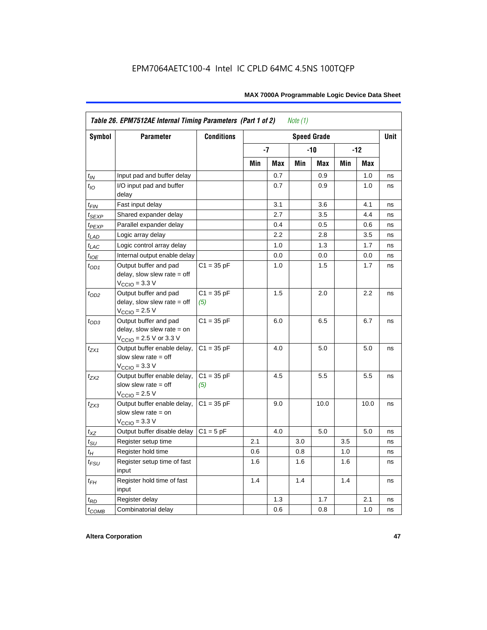|                   | Table 26. EPM7512AE Internal Timing Parameters (Part 1 of 2)                                                 |                     |     |      | Note $(1)$ |                    |     |       |             |
|-------------------|--------------------------------------------------------------------------------------------------------------|---------------------|-----|------|------------|--------------------|-----|-------|-------------|
| Symbol            | <b>Parameter</b>                                                                                             | <b>Conditions</b>   |     |      |            | <b>Speed Grade</b> |     |       | <b>Unit</b> |
|                   |                                                                                                              |                     |     | $-7$ |            | $-10$              |     | $-12$ |             |
|                   |                                                                                                              |                     | Min | Max  | Min        | Max                | Min | Max   |             |
| $t_{IN}$          | Input pad and buffer delay                                                                                   |                     |     | 0.7  |            | 0.9                |     | 1.0   | ns          |
| $t_{IO}$          | I/O input pad and buffer<br>delay                                                                            |                     |     | 0.7  |            | 0.9                |     | 1.0   | ns          |
| $t_{\sf FIN}$     | Fast input delay                                                                                             |                     |     | 3.1  |            | 3.6                |     | 4.1   | ns          |
| $t_{SEXP}$        | Shared expander delay                                                                                        |                     |     | 2.7  |            | 3.5                |     | 4.4   | ns          |
| t <sub>PEXP</sub> | Parallel expander delay                                                                                      |                     |     | 0.4  |            | 0.5                |     | 0.6   | ns          |
| $t_{LAD}$         | Logic array delay                                                                                            |                     |     | 2.2  |            | 2.8                |     | 3.5   | ns          |
| $t_{LAC}$         | Logic control array delay                                                                                    |                     |     | 1.0  |            | 1.3                |     | 1.7   | ns          |
| $t_{IOE}$         | Internal output enable delay                                                                                 |                     |     | 0.0  |            | 0.0                |     | 0.0   | ns          |
| $t_{OD1}$         | Output buffer and pad<br>delay, slow slew rate $=$ off<br>$V_{\text{CCIO}} = 3.3 \text{ V}$                  | $C1 = 35 pF$        |     | 1.0  |            | 1.5                |     | 1.7   | ns          |
| $t_{OD2}$         | Output buffer and pad<br>delay, slow slew rate $=$ off<br>$VCCIO = 2.5 V$                                    | $C1 = 35 pF$<br>(5) |     | 1.5  |            | 2.0                |     | 2.2   | ns          |
| $t_{OD3}$         | Output buffer and pad<br>delay, slow slew rate $=$ on<br>$V_{\text{CCIO}} = 2.5 \text{ V or } 3.3 \text{ V}$ | $C1 = 35 pF$        |     | 6.0  |            | 6.5                |     | 6.7   | ns          |
| $t_{ZX1}$         | Output buffer enable delay,<br>slow slew rate $=$ off<br>$VCCIO = 3.3 V$                                     | $C1 = 35 pF$        |     | 4.0  |            | 5.0                |     | 5.0   | ns          |
| $t_{ZX2}$         | Output buffer enable delay,<br>slow slew rate $=$ off<br>$V_{\text{CCIO}}$ = 2.5 V                           | $C1 = 35 pF$<br>(5) |     | 4.5  |            | 5.5                |     | 5.5   | ns          |
| $t_{ZX3}$         | Output buffer enable delay,<br>slow slew rate $=$ on<br>$VCCIO = 3.3 V$                                      | $C1 = 35 pF$        |     | 9.0  |            | 10.0               |     | 10.0  | ns          |
| $t_{XZ}$          | Output buffer disable delay                                                                                  | $C1 = 5pF$          |     | 4.0  |            | 5.0                |     | 5.0   | ns          |
| $t_{\text{SU}}$   | Register setup time                                                                                          |                     | 2.1 |      | 3.0        |                    | 3.5 |       | ns          |
| $t_H$             | Register hold time                                                                                           |                     | 0.6 |      | 0.8        |                    | 1.0 |       | ns          |
| $t_{FSU}$         | Register setup time of fast<br>input                                                                         |                     | 1.6 |      | 1.6        |                    | 1.6 |       | ns          |
| $t_{FH}$          | Register hold time of fast<br>input                                                                          |                     | 1.4 |      | 1.4        |                    | 1.4 |       | ns          |
| $t_{RD}$          | Register delay                                                                                               |                     |     | 1.3  |            | 1.7                |     | 2.1   | ns          |
| $t_{COMB}$        | Combinatorial delay                                                                                          |                     |     | 0.6  |            | 0.8                |     | 1.0   | ns          |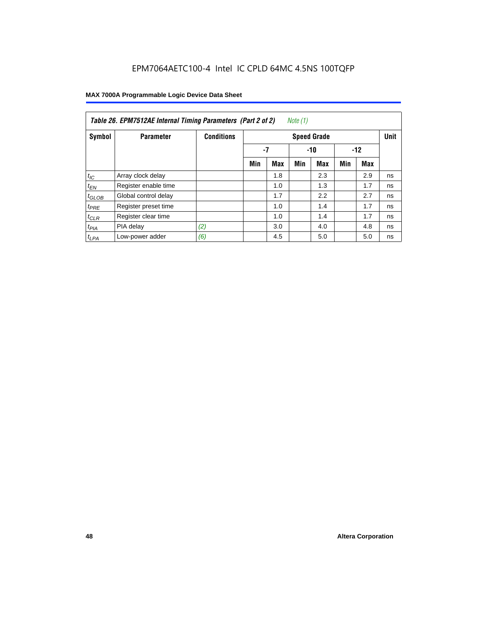| Table 26. EPM7512AE Internal Timing Parameters (Part 2 of 2)<br>Note (1) |                      |                   |                    |            |     |            |       |     |    |  |  |
|--------------------------------------------------------------------------|----------------------|-------------------|--------------------|------------|-----|------------|-------|-----|----|--|--|
| Symbol                                                                   | <b>Parameter</b>     | <b>Conditions</b> | <b>Speed Grade</b> |            |     |            |       |     |    |  |  |
|                                                                          |                      |                   | -7                 |            |     | $-10$      | $-12$ |     |    |  |  |
|                                                                          |                      |                   | Min                | <b>Max</b> | Min | <b>Max</b> | Min   | Max |    |  |  |
| $t_{IC}$                                                                 | Array clock delay    |                   |                    | 1.8        |     | 2.3        |       | 2.9 | ns |  |  |
| $t_{EN}$                                                                 | Register enable time |                   |                    | 1.0        |     | 1.3        |       | 1.7 | ns |  |  |
| $t_{GLOB}$                                                               | Global control delay |                   |                    | 1.7        |     | 2.2        |       | 2.7 | ns |  |  |
| $t_{PRE}$                                                                | Register preset time |                   |                    | 1.0        |     | 1.4        |       | 1.7 | ns |  |  |
| $t_{CLR}$                                                                | Register clear time  |                   |                    | 1.0        |     | 1.4        |       | 1.7 | ns |  |  |
| t <sub>PIA</sub>                                                         | PIA delay            | (2)               |                    | 3.0        |     | 4.0        |       | 4.8 | ns |  |  |
| $t_{LPA}$                                                                | Low-power adder      | (6)               |                    | 4.5        |     | 5.0        |       | 5.0 | ns |  |  |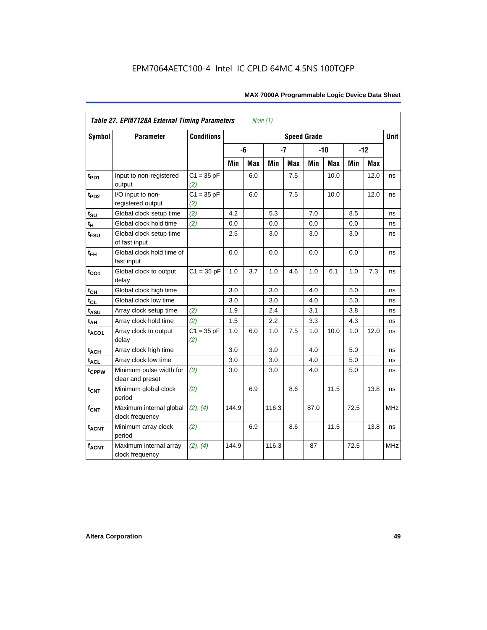|                         | <b>Table 27. EPM7128A External Timing Parameters</b> |                     |         | Note (1)   |       |            |                    |            |      |       |             |
|-------------------------|------------------------------------------------------|---------------------|---------|------------|-------|------------|--------------------|------------|------|-------|-------------|
| <b>Symbol</b>           | <b>Parameter</b>                                     | <b>Conditions</b>   |         |            |       |            | <b>Speed Grade</b> |            |      |       | <b>Unit</b> |
|                         |                                                      |                     |         | -6         | $-7$  |            |                    | $-10$      |      | $-12$ |             |
|                         |                                                      |                     | Min     | <b>Max</b> | Min   | <b>Max</b> | Min                | <b>Max</b> | Min  | Max   |             |
| t <sub>PD1</sub>        | Input to non-registered<br>output                    | $C1 = 35 pF$<br>(2) |         | 6.0        |       | 7.5        |                    | 10.0       |      | 12.0  | ns          |
| t <sub>PD2</sub>        | I/O input to non-<br>registered output               | $C1 = 35 pF$<br>(2) |         | 6.0        |       | 7.5        |                    | 10.0       |      | 12.0  | ns          |
| $t_{\text{SU}}$         | Global clock setup time                              | (2)                 | 4.2     |            | 5.3   |            | 7.0                |            | 8.5  |       | ns          |
| $t_H$                   | Global clock hold time                               | (2)                 | 0.0     |            | 0.0   |            | 0.0                |            | 0.0  |       | ns          |
| t <sub>FSU</sub>        | Global clock setup time<br>of fast input             |                     | $2.5\,$ |            | 3.0   |            | 3.0                |            | 3.0  |       | ns          |
| $t_{FH}$                | Global clock hold time of<br>fast input              |                     | 0.0     |            | 0.0   |            | 0.0                |            | 0.0  |       | ns          |
| $t_{CO1}$               | Global clock to output<br>delay                      | $C1 = 35 pF$        | 1.0     | 3.7        | 1.0   | 4.6        | 1.0                | 6.1        | 1.0  | 7.3   | ns          |
| $t_{CH}$                | Global clock high time                               |                     | 3.0     |            | 3.0   |            | 4.0                |            | 5.0  |       | ns          |
| $t_{CL}$                | Global clock low time                                |                     | 3.0     |            | 3.0   |            | 4.0                |            | 5.0  |       | ns          |
| t <sub>ASU</sub>        | Array clock setup time                               | (2)                 | 1.9     |            | 2.4   |            | 3.1                |            | 3.8  |       | ns          |
| $t_{\underline{AH}}$    | Array clock hold time                                | (2)                 | 1.5     |            | 2.2   |            | 3.3                |            | 4.3  |       | ns          |
| t <sub>ACO1</sub>       | Array clock to output<br>delay                       | $C1 = 35 pF$<br>(2) | 1.0     | 6.0        | 1.0   | 7.5        | 1.0                | 10.0       | 1.0  | 12.0  | ns          |
| $t_{ACH}$               | Array clock high time                                |                     | 3.0     |            | 3.0   |            | 4.0                |            | 5.0  |       | ns          |
| t <sub>ACL</sub>        | Array clock low time                                 |                     | 3.0     |            | 3.0   |            | 4.0                |            | 5.0  |       | ns          |
| t <sub>CPPW</sub>       | Minimum pulse width for<br>clear and preset          | (3)                 | 3.0     |            | 3.0   |            | 4.0                |            | 5.0  |       | ns          |
| $t_{\text{CNT}}$        | Minimum global clock<br>period                       | (2)                 |         | 6.9        |       | 8.6        |                    | 11.5       |      | 13.8  | ns          |
| $f_{\text{CNT}}$        | Maximum internal global<br>clock frequency           | (2), (4)            | 144.9   |            | 116.3 |            | 87.0               |            | 72.5 |       | MHz         |
| <b>t<sub>ACNT</sub></b> | Minimum array clock<br>period                        | (2)                 |         | 6.9        |       | 8.6        |                    | 11.5       |      | 13.8  | ns          |
| <b>fACNT</b>            | Maximum internal array<br>clock frequency            | (2), (4)            | 144.9   |            | 116.3 |            | 87                 |            | 72.5 |       | <b>MHz</b>  |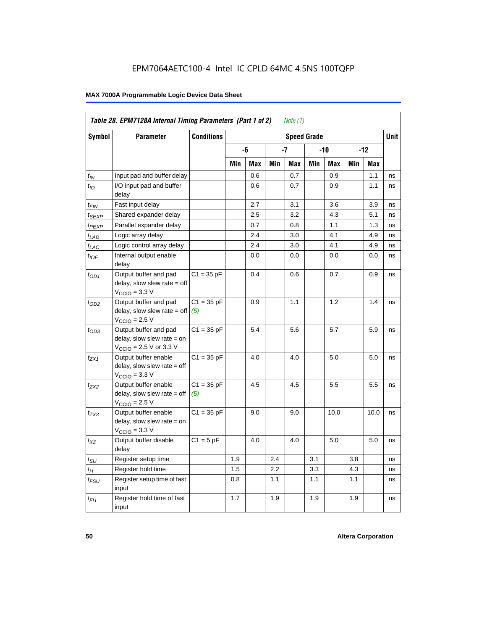|                             | Table 28. EPM7128A Internal Timing Parameters (Part 1 of 2)                                                |                     |     |     |     | Note $(1)$ |                    |      |     |      |             |
|-----------------------------|------------------------------------------------------------------------------------------------------------|---------------------|-----|-----|-----|------------|--------------------|------|-----|------|-------------|
| <b>Symbol</b>               | <b>Parameter</b>                                                                                           | <b>Conditions</b>   |     |     |     |            | <b>Speed Grade</b> |      |     |      | <b>Unit</b> |
|                             |                                                                                                            |                     |     | -6  |     | -7         |                    | -10  |     | -12  |             |
|                             |                                                                                                            |                     | Min | Max | Min | Max        | Min                | Max  | Min | Max  |             |
| $t_{\mathsf{IN}}$           | Input pad and buffer delay                                                                                 |                     |     | 0.6 |     | 0.7        |                    | 0.9  |     | 1.1  | ns          |
| $t_{IO}$                    | I/O input pad and buffer<br>delay                                                                          |                     |     | 0.6 |     | 0.7        |                    | 0.9  |     | 1.1  | ns          |
| t <sub>FIN</sub>            | Fast input delay                                                                                           |                     |     | 2.7 |     | 3.1        |                    | 3.6  |     | 3.9  | ns          |
| $t_{SEXP}$                  | Shared expander delay                                                                                      |                     |     | 2.5 |     | 3.2        |                    | 4.3  |     | 5.1  | ns          |
| t <sub>PEXP</sub>           | Parallel expander delay                                                                                    |                     |     | 0.7 |     | 0.8        |                    | 1.1  |     | 1.3  | ns          |
| $t_{LAD}$                   | Logic array delay                                                                                          |                     |     | 2.4 |     | 3.0        |                    | 4.1  |     | 4.9  | ns          |
| $t_{LAC}$                   | Logic control array delay                                                                                  |                     |     | 2.4 |     | 3.0        |                    | 4.1  |     | 4.9  | ns          |
| $t_{IOE}$                   | Internal output enable<br>delay                                                                            |                     |     | 0.0 |     | 0.0        |                    | 0.0  |     | 0.0  | ns          |
| $t_{OD1}$                   | Output buffer and pad<br>$delay$ , slow slew rate = off<br>$V_{\text{CCIO}} = 3.3 \text{ V}$               | $C1 = 35 pF$        |     | 0.4 |     | 0.6        |                    | 0.7  |     | 0.9  | ns          |
| $t_{OD2}$                   | Output buffer and pad<br>$delay$ , slow slew rate = off<br>$VCCIO = 2.5 V$                                 | $C1 = 35 pF$<br>(5) |     | 0.9 |     | 1.1        |                    | 1.2  |     | 1.4  | ns          |
| $t_{OD3}$                   | Output buffer and pad<br>delay, slow slew rate = on<br>$V_{\text{CCIO}} = 2.5 \text{ V or } 3.3 \text{ V}$ | $C1 = 35 pF$        |     | 5.4 |     | 5.6        |                    | 5.7  |     | 5.9  | ns          |
| $t_{ZX1}$                   | Output buffer enable<br>$delay$ , slow slew rate = off<br>$V_{\text{CCIO}} = 3.3 \text{ V}$                | $C1 = 35 pF$        |     | 4.0 |     | 4.0        |                    | 5.0  |     | 5.0  | ns          |
| t <sub>ZX2</sub>            | Output buffer enable<br>$delay$ , slow slew rate = off<br>$VCCIO = 2.5 V$                                  | $C1 = 35 pF$<br>(5) |     | 4.5 |     | 4.5        |                    | 5.5  |     | 5.5  | ns          |
| $t_{ZX3}$                   | Output buffer enable<br>delay, slow slew rate = on<br>$VCCIO = 3.3 V$                                      | $C1 = 35 pF$        |     | 9.0 |     | 9.0        |                    | 10.0 |     | 10.0 | ns          |
| $t_{\mathsf{XZ}}$           | Output buffer disable<br>delay                                                                             | $C1 = 5$ pF         |     | 4.0 |     | 4.0        |                    | 5.0  |     | 5.0  | ns          |
| $t_{\scriptstyle\text{SU}}$ | Register setup time                                                                                        |                     | 1.9 |     | 2.4 |            | 3.1                |      | 3.8 |      | ns          |
| $t_H$                       | Register hold time                                                                                         |                     | 1.5 |     | 2.2 |            | 3.3                |      | 4.3 |      | ns          |
| t <sub>FSU</sub>            | Register setup time of fast<br>input                                                                       |                     | 0.8 |     | 1.1 |            | 1.1                |      | 1.1 |      | ns          |
| $t_{FH}$                    | Register hold time of fast<br>input                                                                        |                     | 1.7 |     | 1.9 |            | 1.9                |      | 1.9 |      | ns          |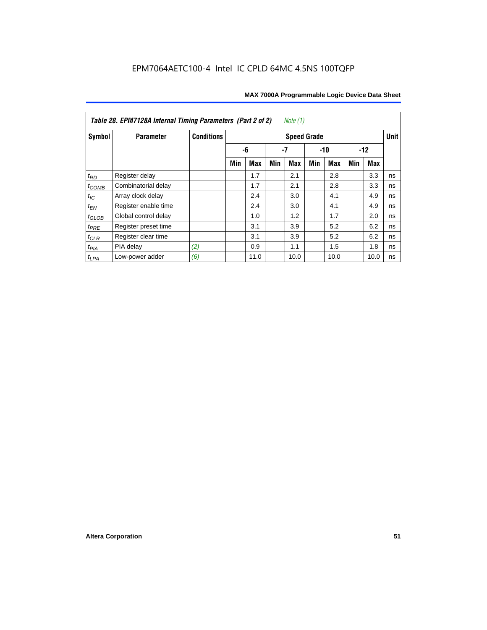| Table 28. EPM7128A Internal Timing Parameters (Part 2 of 2)<br>Note (1) |                      |                   |                    |            |     |            |     |            |     |      |             |
|-------------------------------------------------------------------------|----------------------|-------------------|--------------------|------------|-----|------------|-----|------------|-----|------|-------------|
| Symbol                                                                  | <b>Parameter</b>     | <b>Conditions</b> | <b>Speed Grade</b> |            |     |            |     |            |     |      | <b>Unit</b> |
|                                                                         |                      |                   |                    | -6<br>-7   |     | $-10$      |     | $-12$      |     |      |             |
|                                                                         |                      |                   | Min                | <b>Max</b> | Min | <b>Max</b> | Min | <b>Max</b> | Min | Max  |             |
| $t_{RD}$                                                                | Register delay       |                   |                    | 1.7        |     | 2.1        |     | 2.8        |     | 3.3  | ns          |
| $t_{COMB}$                                                              | Combinatorial delay  |                   |                    | 1.7        |     | 2.1        |     | 2.8        |     | 3.3  | ns          |
| $t_{IC}$                                                                | Array clock delay    |                   |                    | 2.4        |     | 3.0        |     | 4.1        |     | 4.9  | ns          |
| $t_{EN}$                                                                | Register enable time |                   |                    | 2.4        |     | 3.0        |     | 4.1        |     | 4.9  | ns          |
| $t_{\text{GLOB}}$                                                       | Global control delay |                   |                    | 1.0        |     | 1.2        |     | 1.7        |     | 2.0  | ns          |
| $t_{PRE}$                                                               | Register preset time |                   |                    | 3.1        |     | 3.9        |     | 5.2        |     | 6.2  | ns          |
| $t_{CLR}$                                                               | Register clear time  |                   |                    | 3.1        |     | 3.9        |     | 5.2        |     | 6.2  | ns          |
| $t_{PIA}$                                                               | PIA delay            | (2)               |                    | 0.9        |     | 1.1        |     | 1.5        |     | 1.8  | ns          |
| $t_{LPA}$                                                               | Low-power adder      | (6)               |                    | 11.0       |     | 10.0       |     | 10.0       |     | 10.0 | ns          |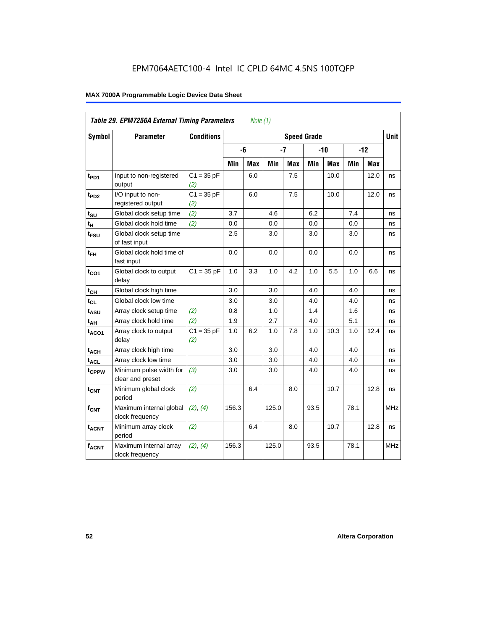| Table 29. EPM7256A External Timing Parameters<br>Note $(1)$ |                                             |                     |       |                                   |       |            |      |            |       |      |            |
|-------------------------------------------------------------|---------------------------------------------|---------------------|-------|-----------------------------------|-------|------------|------|------------|-------|------|------------|
| Symbol                                                      | <b>Parameter</b>                            | <b>Conditions</b>   |       | <b>Unit</b><br><b>Speed Grade</b> |       |            |      |            |       |      |            |
|                                                             |                                             |                     |       | -6                                |       | $-7$       |      | $-10$      | $-12$ |      |            |
|                                                             |                                             |                     | Min   | Max                               | Min   | <b>Max</b> | Min  | <b>Max</b> | Min   | Max  |            |
| t <sub>PD1</sub>                                            | Input to non-registered<br>output           | $C1 = 35 pF$<br>(2) |       | 6.0                               |       | 7.5        |      | 10.0       |       | 12.0 | ns         |
| t <sub>PD2</sub>                                            | I/O input to non-<br>registered output      | $C1 = 35 pF$<br>(2) |       | 6.0                               |       | 7.5        |      | 10.0       |       | 12.0 | ns         |
| $t_{\text{SU}}$                                             | Global clock setup time                     | (2)                 | 3.7   |                                   | 4.6   |            | 6.2  |            | 7.4   |      | ns         |
| $t_H$                                                       | Global clock hold time                      | (2)                 | 0.0   |                                   | 0.0   |            | 0.0  |            | 0.0   |      | ns         |
| $t_{\text{FSU}}$                                            | Global clock setup time<br>of fast input    |                     | 2.5   |                                   | 3.0   |            | 3.0  |            | 3.0   |      | ns         |
| $t_{FH}$                                                    | Global clock hold time of<br>fast input     |                     | 0.0   |                                   | 0.0   |            | 0.0  |            | 0.0   |      | ns         |
| $t_{CO1}$                                                   | Global clock to output<br>delay             | $C1 = 35 pF$        | 1.0   | 3.3                               | 1.0   | 4.2        | 1.0  | 5.5        | 1.0   | 6.6  | ns         |
| $t_{CH}$                                                    | Global clock high time                      |                     | 3.0   |                                   | 3.0   |            | 4.0  |            | 4.0   |      | ns         |
| $t_{CL}$                                                    | Global clock low time                       |                     | 3.0   |                                   | 3.0   |            | 4.0  |            | 4.0   |      | ns         |
| t <sub>ASU</sub>                                            | Array clock setup time                      | (2)                 | 0.8   |                                   | 1.0   |            | 1.4  |            | 1.6   |      | ns         |
| $t_{AH}$                                                    | Array clock hold time                       | (2)                 | 1.9   |                                   | 2.7   |            | 4.0  |            | 5.1   |      | ns         |
| $t_{ACO1}$                                                  | Array clock to output<br>delay              | $C1 = 35 pF$<br>(2) | 1.0   | 6.2                               | 1.0   | 7.8        | 1.0  | 10.3       | 1.0   | 12.4 | ns         |
| $t_{ACH}$                                                   | Array clock high time                       |                     | 3.0   |                                   | 3.0   |            | 4.0  |            | 4.0   |      | ns         |
| $t_{\text{ACL}}$                                            | Array clock low time                        |                     | 3.0   |                                   | 3.0   |            | 4.0  |            | 4.0   |      | ns         |
| t <sub>CPPW</sub>                                           | Minimum pulse width for<br>clear and preset | (3)                 | 3.0   |                                   | 3.0   |            | 4.0  |            | 4.0   |      | ns         |
| $t_{\text{CNT}}$                                            | Minimum global clock<br>period              | (2)                 |       | 6.4                               |       | 8.0        |      | 10.7       |       | 12.8 | ns         |
| $f_{CNT}$                                                   | Maximum internal global<br>clock frequency  | (2), (4)            | 156.3 |                                   | 125.0 |            | 93.5 |            | 78.1  |      | <b>MHz</b> |
| t <sub>ACNT</sub>                                           | Minimum array clock<br>period               | (2)                 |       | 6.4                               |       | 8.0        |      | 10.7       |       | 12.8 | ns         |
| <b>fACNT</b>                                                | Maximum internal array<br>clock frequency   | (2), (4)            | 156.3 |                                   | 125.0 |            | 93.5 |            | 78.1  |      | <b>MHz</b> |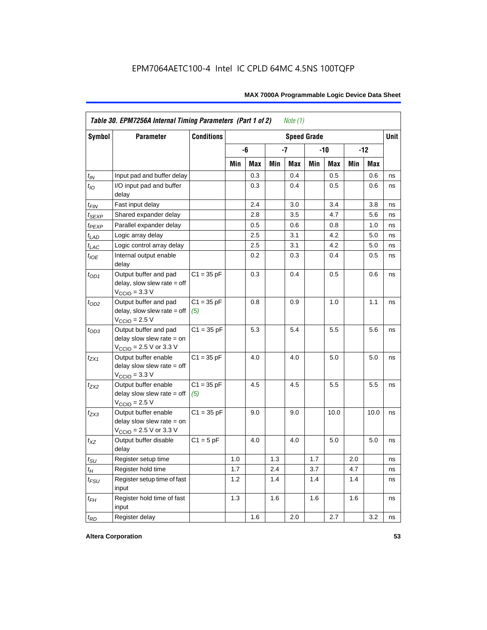| <b>Symbol</b>               | <b>Parameter</b>                                                                             | <b>Conditions</b><br><b>Speed Grade</b> |     |     |     |     |     |       |     |            |    |
|-----------------------------|----------------------------------------------------------------------------------------------|-----------------------------------------|-----|-----|-----|-----|-----|-------|-----|------------|----|
|                             |                                                                                              |                                         |     | -6  |     | -7  |     | $-10$ |     | $-12$      |    |
|                             |                                                                                              |                                         | Min | Max | Min | Max | Min | Max   | Min | <b>Max</b> |    |
| $t_{IN}$                    | Input pad and buffer delay                                                                   |                                         |     | 0.3 |     | 0.4 |     | 0.5   |     | 0.6        | ns |
| $t_{IO}$                    | I/O input pad and buffer<br>delay                                                            |                                         |     | 0.3 |     | 0.4 |     | 0.5   |     | 0.6        | ns |
| t <sub>FIN</sub>            | Fast input delay                                                                             |                                         |     | 2.4 |     | 3.0 |     | 3.4   |     | 3.8        | ns |
| t <sub>SEXP</sub>           | Shared expander delay                                                                        |                                         |     | 2.8 |     | 3.5 |     | 4.7   |     | 5.6        | ns |
| t <sub>PEXP</sub>           | Parallel expander delay                                                                      |                                         |     | 0.5 |     | 0.6 |     | 0.8   |     | 1.0        | ns |
| $t_{LAD}$                   | Logic array delay                                                                            |                                         |     | 2.5 |     | 3.1 |     | 4.2   |     | 5.0        | ns |
| $t_{LAC}$                   | Logic control array delay                                                                    |                                         |     | 2.5 |     | 3.1 |     | 4.2   |     | 5.0        | ns |
| $t_{IOE}$                   | Internal output enable<br>delay                                                              |                                         |     | 0.2 |     | 0.3 |     | 0.4   |     | 0.5        | ns |
| $t_{OD1}$                   | Output buffer and pad<br>$delay$ , slow slew rate = off<br>$V_{\text{CCIO}} = 3.3 \text{ V}$ | $C1 = 35 pF$                            |     | 0.3 |     | 0.4 |     | 0.5   |     | 0.6        | ns |
| $t_{OD2}$                   | Output buffer and pad<br>$delay$ , slow slew rate = off<br>$V_{\text{CCIO}} = 2.5 V$         | $C1 = 35 pF$<br>(5)                     |     | 0.8 |     | 0.9 |     | 1.0   |     | 1.1        | ns |
| $t_{OD3}$                   | Output buffer and pad<br>delay slow slew rate $=$ on<br>$V_{\text{CCIO}}$ = 2.5 V or 3.3 V   | $C1 = 35 pF$                            |     | 5.3 |     | 5.4 |     | 5.5   |     | 5.6        | ns |
| $t_{ZX1}$                   | Output buffer enable<br>delay slow slew rate $=$ off<br>$VCCIO = 3.3 V$                      | $C1 = 35 pF$                            |     | 4.0 |     | 4.0 |     | 5.0   |     | 5.0        | ns |
| $t_{ZX2}$                   | Output buffer enable<br>delay slow slew rate $=$ off<br>$VCCIO = 2.5 V$                      | $C1 = 35 pF$<br>(5)                     |     | 4.5 |     | 4.5 |     | 5.5   |     | 5.5        | ns |
| $t_{ZX3}$                   | Output buffer enable<br>delay slow slew rate $=$ on<br>$V_{\text{CCIO}}$ = 2.5 V or 3.3 V    | $C1 = 35 pF$                            |     | 9.0 |     | 9.0 |     | 10.0  |     | 10.0       | ns |
| $t_{XZ}$                    | Output buffer disable<br>delay                                                               | $C1 = 5pF$                              |     | 4.0 |     | 4.0 |     | 5.0   |     | 5.0        | ns |
| $t_{\scriptstyle\text{SU}}$ | Register setup time                                                                          |                                         | 1.0 |     | 1.3 |     | 1.7 |       | 2.0 |            | ns |
| $t_{H}$                     | Register hold time                                                                           |                                         | 1.7 |     | 2.4 |     | 3.7 |       | 4.7 |            | ns |
| $t_{FSU}$                   | Register setup time of fast<br>input                                                         |                                         | 1.2 |     | 1.4 |     | 1.4 |       | 1.4 |            | ns |
| $t_{FH}$                    | Register hold time of fast<br>input                                                          |                                         | 1.3 |     | 1.6 |     | 1.6 |       | 1.6 |            | ns |
| $t_{RD}$                    | Register delay                                                                               |                                         |     | 1.6 |     | 2.0 |     | 2.7   |     | 3.2        | ns |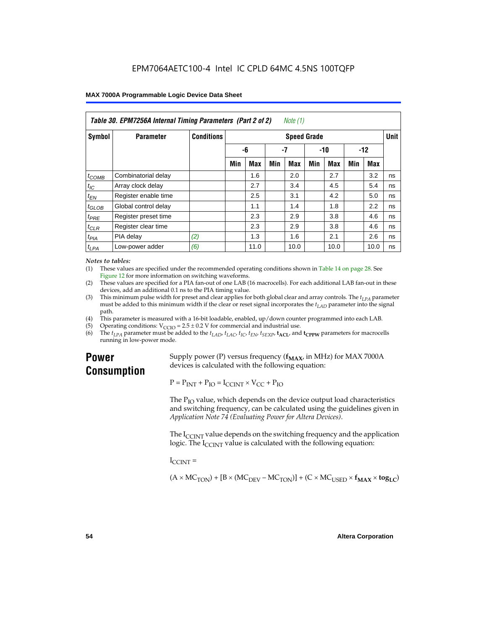| Table 30. EPM7256A Internal Timing Parameters (Part 2 of 2)<br>Note (1) |                      |                   |                    |            |     |      |       |            |       |      |    |
|-------------------------------------------------------------------------|----------------------|-------------------|--------------------|------------|-----|------|-------|------------|-------|------|----|
| <b>Symbol</b>                                                           | <b>Parameter</b>     | <b>Conditions</b> | <b>Speed Grade</b> |            |     |      |       |            |       |      |    |
|                                                                         |                      |                   | -6                 |            | -7  |      | $-10$ |            | $-12$ |      |    |
|                                                                         |                      |                   | Min                | <b>Max</b> | Min | Max  | Min   | <b>Max</b> | Min   | Max  |    |
| $t_{COMB}$                                                              | Combinatorial delay  |                   |                    | 1.6        |     | 2.0  |       | 2.7        |       | 3.2  | ns |
| $t_{IC}$                                                                | Array clock delay    |                   |                    | 2.7        |     | 3.4  |       | 4.5        |       | 5.4  | ns |
| $t_{EN}$                                                                | Register enable time |                   |                    | 2.5        |     | 3.1  |       | 4.2        |       | 5.0  | ns |
| $t_{GLOB}$                                                              | Global control delay |                   |                    | 1.1        |     | 1.4  |       | 1.8        |       | 2.2  | ns |
| $t_{PRE}$                                                               | Register preset time |                   |                    | 2.3        |     | 2.9  |       | 3.8        |       | 4.6  | ns |
| $t_{CLR}$                                                               | Register clear time  |                   |                    | 2.3        |     | 2.9  |       | 3.8        |       | 4.6  | ns |
| t <sub>PIA</sub>                                                        | PIA delay            | (2)               |                    | 1.3        |     | 1.6  |       | 2.1        |       | 2.6  | ns |
| $t_{LPA}$                                                               | Low-power adder      | (6)               |                    | 11.0       |     | 10.0 |       | 10.0       |       | 10.0 | ns |

#### *Notes to tables:*

(1) These values are specified under the recommended operating conditions shown in Table 14 on page 28. See Figure 12 for more information on switching waveforms.

- (2) These values are specified for a PIA fan-out of one LAB (16 macrocells). For each additional LAB fan-out in these devices, add an additional 0.1 ns to the PIA timing value.
- (3) This minimum pulse width for preset and clear applies for both global clear and array controls. The  $t_{LPA}$  parameter must be added to this minimum width if the clear or reset signal incorporates the  $t_{LAD}$  parameter into the signal path.
- (4) This parameter is measured with a 16-bit loadable, enabled, up/down counter programmed into each LAB.
- (5) Operating conditions:  $V_{\text{CCIO}} = 2.5 \pm 0.2 \text{ V}$  for commercial and industrial use.<br>(6) The  $t_{I/A}$  parameter must be added to the  $t_{I AD}$ ,  $t_{I AC}$ ,  $t_{I C}$ ,  $t_{F N}$ ,  $t_{S F Y P}$ ,  $t_{A C I}$ , and
- The  $t_{LPA}$  parameter must be added to the  $t_{LAD}$ ,  $t_{LAC}$ ,  $t_{IC}$ ,  $t_{EN}$ ,  $t_{SEXP}$ ,  $t_{ACL}$  and  $t_{CPPW}$  parameters for macrocells running in low-power mode.

# **Power Consumption**

Supply power (P) versus frequency  $(f_{MAX}$ , in MHz) for MAX 7000A devices is calculated with the following equation:

 $P = P_{INT} + P_{IO} = I_{CCINT} \times V_{CC} + P_{IO}$ 

The  $P_{IO}$  value, which depends on the device output load characteristics and switching frequency, can be calculated using the guidelines given in *Application Note 74 (Evaluating Power for Altera Devices)*.

The  $I_{\text{CUNT}}$  value depends on the switching frequency and the application logic. The  $I_{\text{CCINT}}$  value is calculated with the following equation:

 $I_{\text{CCMT}} =$ 

 $(A \times MC_{TON}) + [B \times (MC_{DEV} - MC_{TON})] + (C \times MC_{LISED} \times f_{MAX} \times tog_{LC})$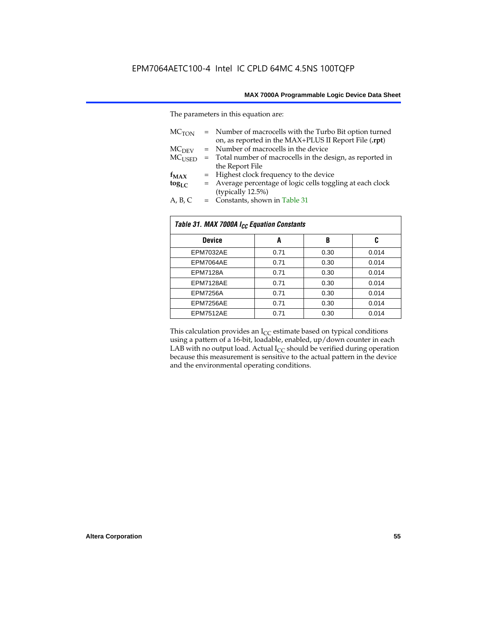The parameters in this equation are:

| MC <sub>TON</sub> | = Number of macrocells with the Turbo Bit option turned<br>on, as reported in the MAX+PLUS II Report File (.rpt) |
|-------------------|------------------------------------------------------------------------------------------------------------------|
| MC <sub>DFV</sub> | = Number of macrocells in the device                                                                             |
| $MC_{LISED}$      | = Total number of macrocells in the design, as reported in                                                       |
|                   | the Report File                                                                                                  |
| $f_{MAX}$         | = Highest clock frequency to the device                                                                          |
| $tog_{LC}$        | = Average percentage of logic cells toggling at each clock                                                       |
|                   | (typically 12.5%)                                                                                                |
| A, B, C           | = Constants, shown in Table 31                                                                                   |

| Table 31. MAX 7000A I <sub>CC</sub> Equation Constants |      |      |       |  |  |  |
|--------------------------------------------------------|------|------|-------|--|--|--|
| <b>Device</b>                                          | A    | B    | C     |  |  |  |
| EPM7032AE                                              | 0.71 | 0.30 | 0.014 |  |  |  |
| EPM7064AE                                              | 0.71 | 0.30 | 0.014 |  |  |  |
| <b>EPM7128A</b>                                        | 0.71 | 0.30 | 0.014 |  |  |  |
| EPM7128AE                                              | 0.71 | 0.30 | 0.014 |  |  |  |
| <b>EPM7256A</b>                                        | 0.71 | 0.30 | 0.014 |  |  |  |
| EPM7256AE                                              | 0.71 | 0.30 | 0.014 |  |  |  |
| EPM7512AE                                              | 0.71 | 0.30 | 0.014 |  |  |  |

This calculation provides an  $I_{CC}$  estimate based on typical conditions using a pattern of a 16-bit, loadable, enabled, up/down counter in each LAB with no output load. Actual  $I_{CC}$  should be verified during operation because this measurement is sensitive to the actual pattern in the device and the environmental operating conditions.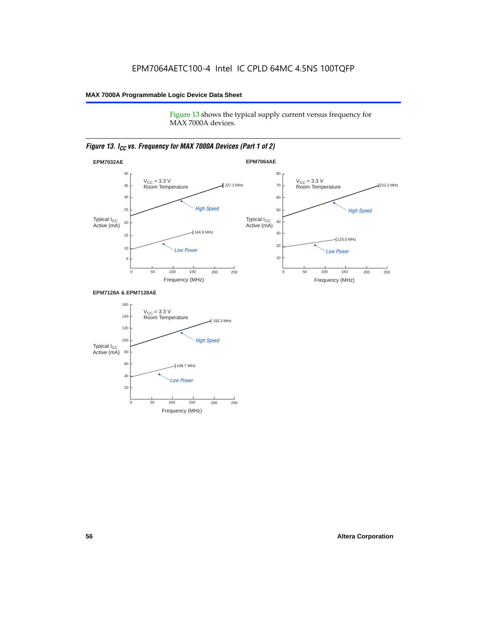Figure 13 shows the typical supply current versus frequency for MAX 7000A devices.

### *Figure 13. I<sub>CC</sub> vs. Frequency for MAX 7000A Devices (Part 1 of 2)*



#### **EPM7128A & EPM7128AE**

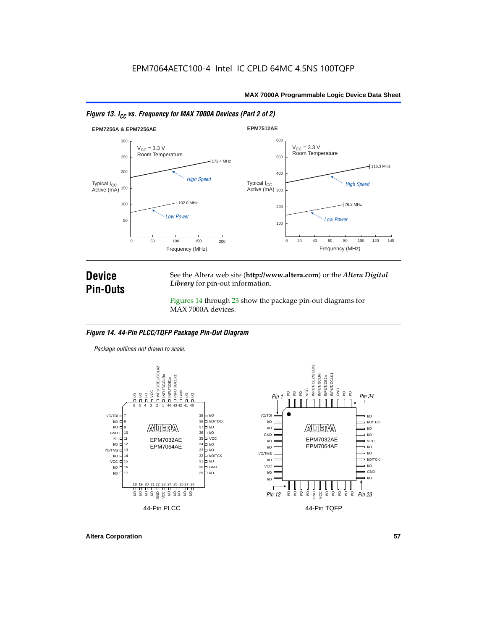



# **Device Pin-Outs**

See the Altera web site (**http://www.altera.com**) or the *Altera Digital Library* for pin-out information.

Figures 14 through 23 show the package pin-out diagrams for MAX 7000A devices.

#### *Figure 14. 44-Pin PLCC/TQFP Package Pin-Out Diagram*

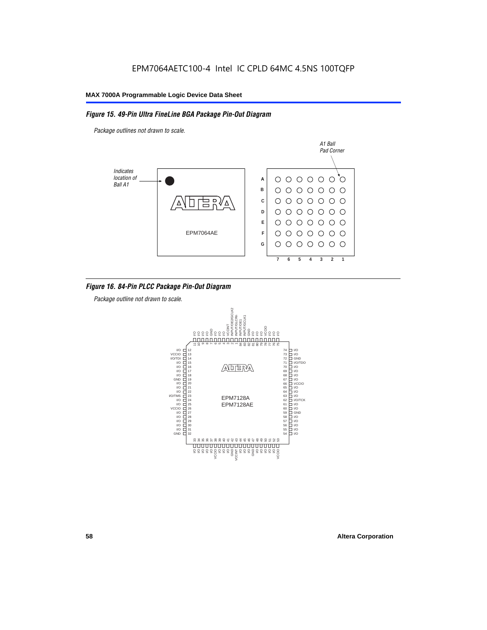### *Figure 15. 49-Pin Ultra FineLine BGA Package Pin-Out Diagram*

*Package outlines not drawn to scale.*



### *Figure 16. 84-Pin PLCC Package Pin-Out Diagram*

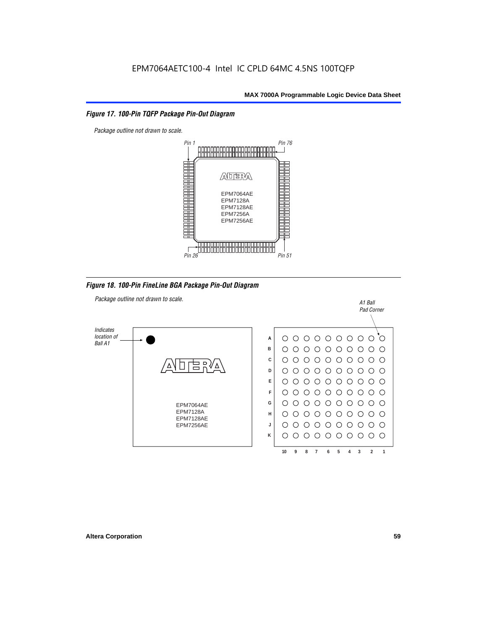### *Figure 17. 100-Pin TQFP Package Pin-Out Diagram*



*Figure 18. 100-Pin FineLine BGA Package Pin-Out Diagram*

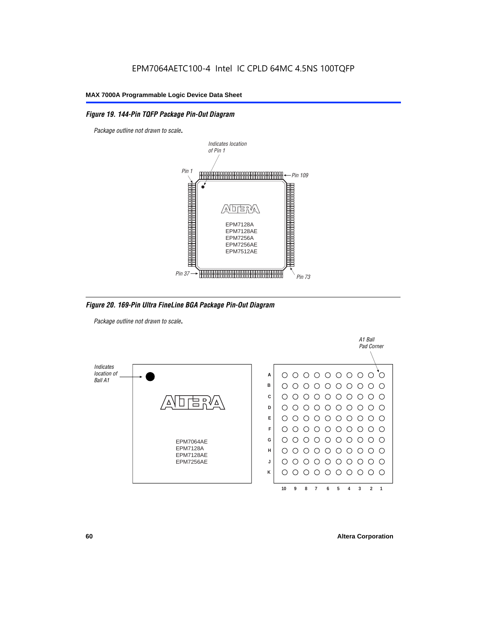### *Figure 19. 144-Pin TQFP Package Pin-Out Diagram*

*Package outline not drawn to scale*.



*Figure 20. 169-Pin Ultra FineLine BGA Package Pin-Out Diagram*

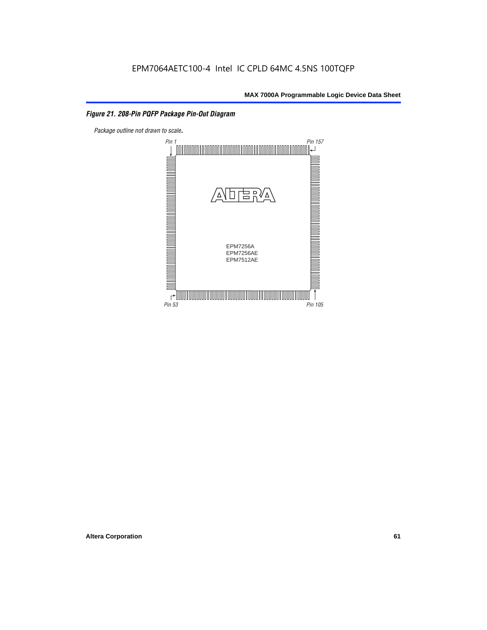# *Figure 21. 208-Pin PQFP Package Pin-Out Diagram*

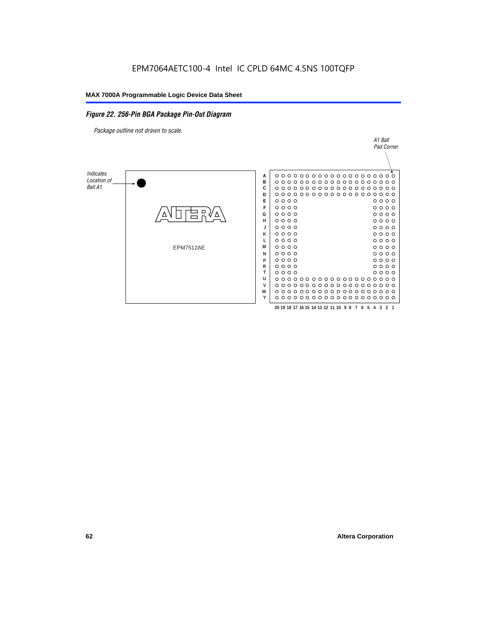### *Figure 22. 256-Pin BGA Package Pin-Out Diagram*

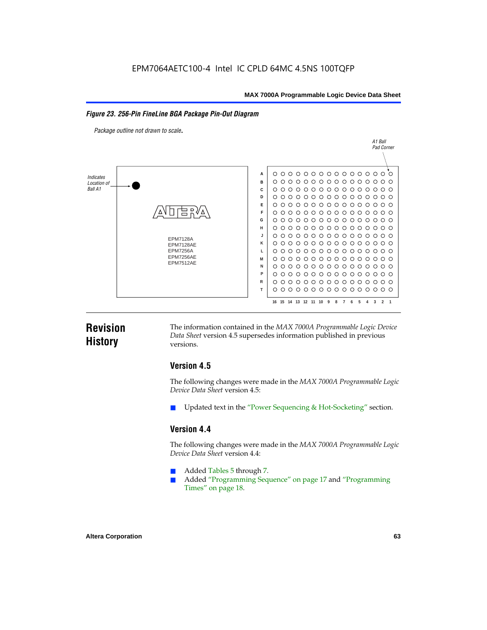#### *Figure 23. 256-Pin FineLine BGA Package Pin-Out Diagram*

*Package outline not drawn to scale*.



# **Revision History**

The information contained in the *MAX 7000A Programmable Logic Device Data Sheet* version 4.5 supersedes information published in previous versions.

# **Version 4.5**

The following changes were made in the *MAX 7000A Programmable Logic Device Data Sheet* version 4.5:

Updated text in the "Power Sequencing & Hot-Socketing" section.

# **Version 4.4**

The following changes were made in the *MAX 7000A Programmable Logic Device Data Sheet* version 4.4:

- Added Tables 5 through 7.
	- Added "Programming Sequence" on page 17 and "Programming Times" on page 18.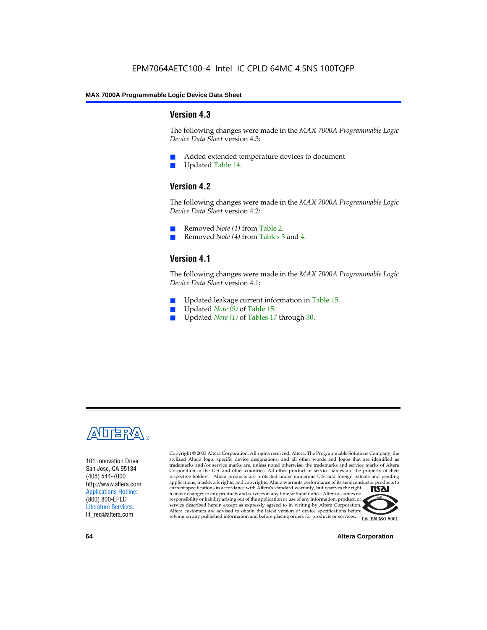### **Version 4.3**

The following changes were made in the *MAX 7000A Programmable Logic Device Data Sheet* version 4.3:

- Added extended temperature devices to document
- Updated Table 14.

# **Version 4.2**

The following changes were made in the *MAX 7000A Programmable Logic Device Data Sheet* version 4.2:

- Removed *Note (1)* from Table 2.
- Removed *Note (4)* from Tables 3 and 4.

# **Version 4.1**

The following changes were made in the *MAX 7000A Programmable Logic Device Data Sheet* version 4.1:

- Updated leakage current information in Table 15.
- Updated *Note (9)* of Table 15.
- Updated *Note* (1) of Tables 17 through 30.



101 Innovation Drive San Jose, CA 95134 (408) 544-7000 http://www.altera.com Applications Hotline: (800) 800-EPLD Literature Services: lit\_req@altera.com

Copyright © 2003 Altera Corporation. All rights reserved. Altera, The Programmable Solutions Company, the stylized Altera logo, specific device designations, and all other words and logos that are identified as trademarks and/or service marks are, unless noted otherwise, the trademarks and service marks of Altera Corporation in the U.S. and other countries. All other product or service names are the property of their respective holders. Altera products are protected under numerous U.S. and foreign patents and pending applications, maskwork rights, and copyrights. Altera warrants performance of its semiconductor products to current specifications in accordance with Altera's standard warranty, but reserves the right **TSAI** to make changes to any products and services at any time without notice. Altera assumes no responsibility or liability arising out of the application or use of any information, product, or service described herein except as expressly agreed to in writing by Altera Corporation. Altera customers are advised to obtain the latest version of device specifications before relying on any published information and before placing orders for products or services.



**64 Altera Corporation**